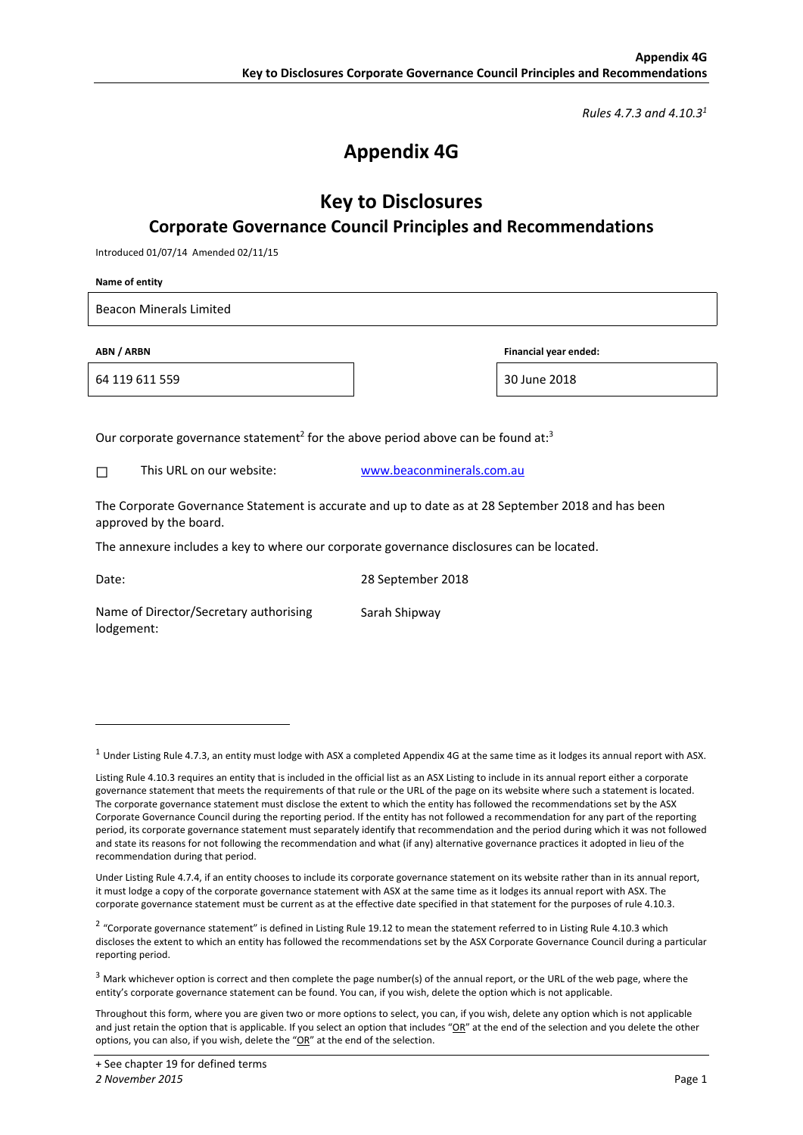*Rules 4.7.3 and 4.10.31*

# **Appendix 4G**

### **Key to Disclosures Corporate Governance Council Principles and Recommendations**

Introduced 01/07/14 Amended 02/11/15

**Name of entity** 

Beacon Minerals Limited

64 119 611 559 30 June 2018

**ABN / ARBN Financial year ended:** 

Our corporate governance statement<sup>2</sup> for the above period above can be found at:<sup>3</sup>

□ This URL on our website: www.beaconminerals.com.au

The Corporate Governance Statement is accurate and up to date as at 28 September 2018 and has been approved by the board.

The annexure includes a key to where our corporate governance disclosures can be located.

1

Date: 28 September 2018

Sarah Shipway

Name of Director/Secretary authorising lodgement:

 $1$  Under Listing Rule 4.7.3, an entity must lodge with ASX a completed Appendix 4G at the same time as it lodges its annual report with ASX.

Listing Rule 4.10.3 requires an entity that is included in the official list as an ASX Listing to include in its annual report either a corporate governance statement that meets the requirements of that rule or the URL of the page on its website where such a statement is located. The corporate governance statement must disclose the extent to which the entity has followed the recommendations set by the ASX Corporate Governance Council during the reporting period. If the entity has not followed a recommendation for any part of the reporting period, its corporate governance statement must separately identify that recommendation and the period during which it was not followed and state its reasons for not following the recommendation and what (if any) alternative governance practices it adopted in lieu of the recommendation during that period.

Under Listing Rule 4.7.4, if an entity chooses to include its corporate governance statement on its website rather than in its annual report, it must lodge a copy of the corporate governance statement with ASX at the same time as it lodges its annual report with ASX. The corporate governance statement must be current as at the effective date specified in that statement for the purposes of rule 4.10.3.

 $2$  "Corporate governance statement" is defined in Listing Rule 19.12 to mean the statement referred to in Listing Rule 4.10.3 which discloses the extent to which an entity has followed the recommendations set by the ASX Corporate Governance Council during a particular reporting period.

 $3$  Mark whichever option is correct and then complete the page number(s) of the annual report, or the URL of the web page, where the entity's corporate governance statement can be found. You can, if you wish, delete the option which is not applicable.

Throughout this form, where you are given two or more options to select, you can, if you wish, delete any option which is not applicable and just retain the option that is applicable. If you select an option that includes "OR" at the end of the selection and you delete the other options, you can also, if you wish, delete the "OR" at the end of the selection.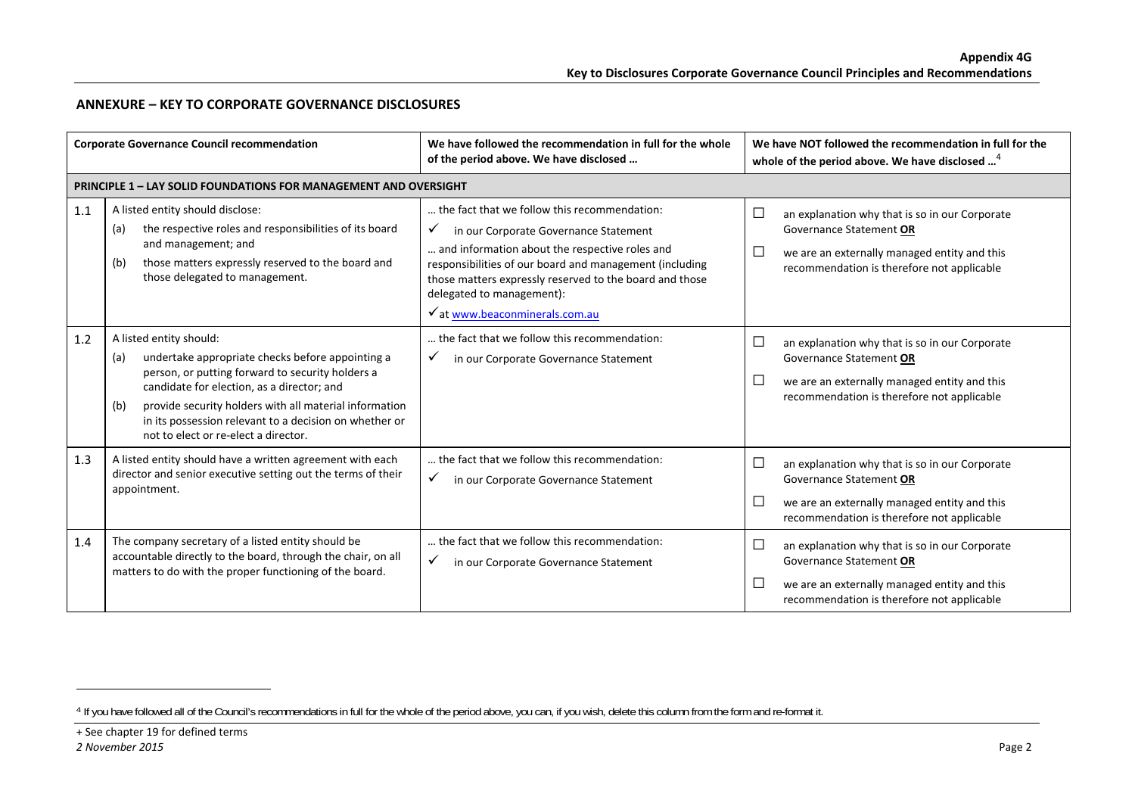#### **ANNEXURE – KEY TO CORPORATE GOVERNANCE DISCLOSURES**

|     | <b>Corporate Governance Council recommendation</b>                                                                                                                                                                                                                                                                                                      | We have followed the recommendation in full for the whole<br>of the period above. We have disclosed                                                                                                                                                                                                                                          | We have NOT followed the recommendation in full for the<br>whole of the period above. We have disclosed <sup>4</sup>                                                                        |
|-----|---------------------------------------------------------------------------------------------------------------------------------------------------------------------------------------------------------------------------------------------------------------------------------------------------------------------------------------------------------|----------------------------------------------------------------------------------------------------------------------------------------------------------------------------------------------------------------------------------------------------------------------------------------------------------------------------------------------|---------------------------------------------------------------------------------------------------------------------------------------------------------------------------------------------|
|     | <b>PRINCIPLE 1 - LAY SOLID FOUNDATIONS FOR MANAGEMENT AND OVERSIGHT</b>                                                                                                                                                                                                                                                                                 |                                                                                                                                                                                                                                                                                                                                              |                                                                                                                                                                                             |
| 1.1 | A listed entity should disclose:<br>the respective roles and responsibilities of its board<br>(a)<br>and management; and<br>those matters expressly reserved to the board and<br>(b)<br>those delegated to management.                                                                                                                                  | the fact that we follow this recommendation:<br>in our Corporate Governance Statement<br>$\checkmark$<br>and information about the respective roles and<br>responsibilities of our board and management (including<br>those matters expressly reserved to the board and those<br>delegated to management):<br>√ at www.beaconminerals.com.au | $\Box$<br>an explanation why that is so in our Corporate<br>Governance Statement OR<br>$\Box$<br>we are an externally managed entity and this<br>recommendation is therefore not applicable |
| 1.2 | A listed entity should:<br>undertake appropriate checks before appointing a<br>(a)<br>person, or putting forward to security holders a<br>candidate for election, as a director; and<br>provide security holders with all material information<br>(b)<br>in its possession relevant to a decision on whether or<br>not to elect or re-elect a director. | the fact that we follow this recommendation:<br>✓<br>in our Corporate Governance Statement                                                                                                                                                                                                                                                   | $\Box$<br>an explanation why that is so in our Corporate<br>Governance Statement OR<br>$\Box$<br>we are an externally managed entity and this<br>recommendation is therefore not applicable |
| 1.3 | A listed entity should have a written agreement with each<br>director and senior executive setting out the terms of their<br>appointment.                                                                                                                                                                                                               | the fact that we follow this recommendation:<br>$\checkmark$<br>in our Corporate Governance Statement                                                                                                                                                                                                                                        | $\Box$<br>an explanation why that is so in our Corporate<br>Governance Statement OR<br>$\Box$<br>we are an externally managed entity and this<br>recommendation is therefore not applicable |
| 1.4 | The company secretary of a listed entity should be<br>accountable directly to the board, through the chair, on all<br>matters to do with the proper functioning of the board.                                                                                                                                                                           | the fact that we follow this recommendation:<br>✓<br>in our Corporate Governance Statement                                                                                                                                                                                                                                                   | $\Box$<br>an explanation why that is so in our Corporate<br>Governance Statement OR<br>$\Box$<br>we are an externally managed entity and this<br>recommendation is therefore not applicable |

+ See chapter 19 for defined terms  $\mathcal{F}$  and  $\mathcal{F}$  are  $\mathcal{F}$  and  $\mathcal{F}$  are  $\mathcal{F}$  and  $\mathcal{F}$  are  $\mathcal{F}$  and  $\mathcal{F}$  are  $\mathcal{F}$  and  $\mathcal{F}$  are  $\mathcal{F}$  and  $\mathcal{F}$  are  $\mathcal{F}$  and  $\mathcal{F}$  are  $\mathcal{F}$  and  $\mathcal{F}$  are  $\mathcal{F}$  and

<sup>&</sup>lt;sup>4</sup> If you have followed all of the Council's recommendations in full for the whole of the period above, you can, if you wish, delete this column from the form and re-format it.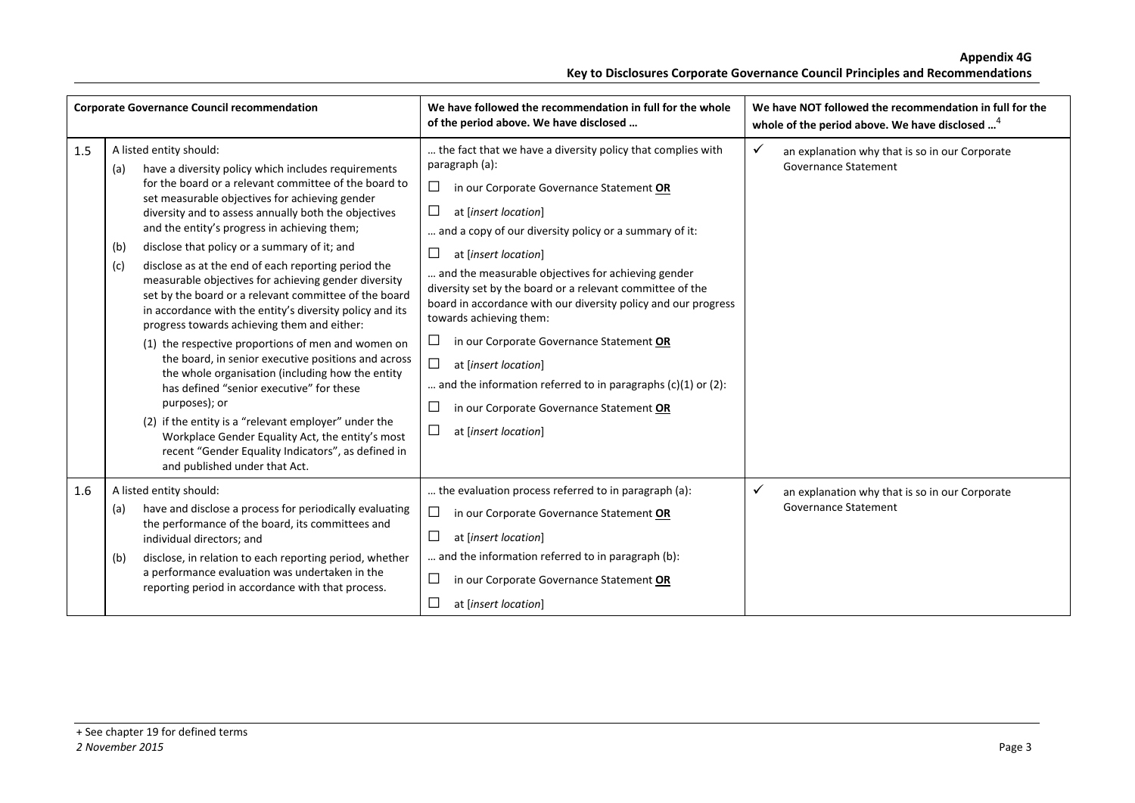| <b>Corporate Governance Council recommendation</b> |                                                                                                                                                                                                                                                                                                                                                                                                                                                                                                                                                                                                                                                                                                                                                                                                                                                                                                                                                                                                                                                                                            | We have followed the recommendation in full for the whole<br>of the period above. We have disclosed                                                                                                                                                                                                                                                                                                                                                                                                                                                                                                                                                                                                                     | We have NOT followed the recommendation in full for the<br>whole of the period above. We have disclosed <sup>4</sup> |
|----------------------------------------------------|--------------------------------------------------------------------------------------------------------------------------------------------------------------------------------------------------------------------------------------------------------------------------------------------------------------------------------------------------------------------------------------------------------------------------------------------------------------------------------------------------------------------------------------------------------------------------------------------------------------------------------------------------------------------------------------------------------------------------------------------------------------------------------------------------------------------------------------------------------------------------------------------------------------------------------------------------------------------------------------------------------------------------------------------------------------------------------------------|-------------------------------------------------------------------------------------------------------------------------------------------------------------------------------------------------------------------------------------------------------------------------------------------------------------------------------------------------------------------------------------------------------------------------------------------------------------------------------------------------------------------------------------------------------------------------------------------------------------------------------------------------------------------------------------------------------------------------|----------------------------------------------------------------------------------------------------------------------|
| 1.5                                                | A listed entity should:<br>have a diversity policy which includes requirements<br>(a)<br>for the board or a relevant committee of the board to<br>set measurable objectives for achieving gender<br>diversity and to assess annually both the objectives<br>and the entity's progress in achieving them;<br>disclose that policy or a summary of it; and<br>(b)<br>disclose as at the end of each reporting period the<br>(c)<br>measurable objectives for achieving gender diversity<br>set by the board or a relevant committee of the board<br>in accordance with the entity's diversity policy and its<br>progress towards achieving them and either:<br>(1) the respective proportions of men and women on<br>the board, in senior executive positions and across<br>the whole organisation (including how the entity<br>has defined "senior executive" for these<br>purposes); or<br>(2) if the entity is a "relevant employer" under the<br>Workplace Gender Equality Act, the entity's most<br>recent "Gender Equality Indicators", as defined in<br>and published under that Act. | the fact that we have a diversity policy that complies with<br>paragraph (a):<br>$\Box$<br>in our Corporate Governance Statement OR<br>□<br>at [insert location]<br>and a copy of our diversity policy or a summary of it:<br>$\Box$<br>at [insert location]<br>and the measurable objectives for achieving gender<br>diversity set by the board or a relevant committee of the<br>board in accordance with our diversity policy and our progress<br>towards achieving them:<br>□<br>in our Corporate Governance Statement OR<br>$\Box$<br>at [insert location]<br>and the information referred to in paragraphs $(c)(1)$ or $(2)$ :<br>□<br>in our Corporate Governance Statement OR<br>$\Box$<br>at [insert location] | $\checkmark$<br>an explanation why that is so in our Corporate<br>Governance Statement                               |
| 1.6                                                | A listed entity should:<br>have and disclose a process for periodically evaluating<br>(a)<br>the performance of the board, its committees and<br>individual directors; and<br>disclose, in relation to each reporting period, whether<br>(b)<br>a performance evaluation was undertaken in the<br>reporting period in accordance with that process.                                                                                                                                                                                                                                                                                                                                                                                                                                                                                                                                                                                                                                                                                                                                        | the evaluation process referred to in paragraph (a):<br>□<br>in our Corporate Governance Statement OR<br>$\Box$<br>at [insert location]<br>and the information referred to in paragraph (b):<br>□<br>in our Corporate Governance Statement OR<br>□<br>at [insert location]                                                                                                                                                                                                                                                                                                                                                                                                                                              | ✓<br>an explanation why that is so in our Corporate<br><b>Governance Statement</b>                                   |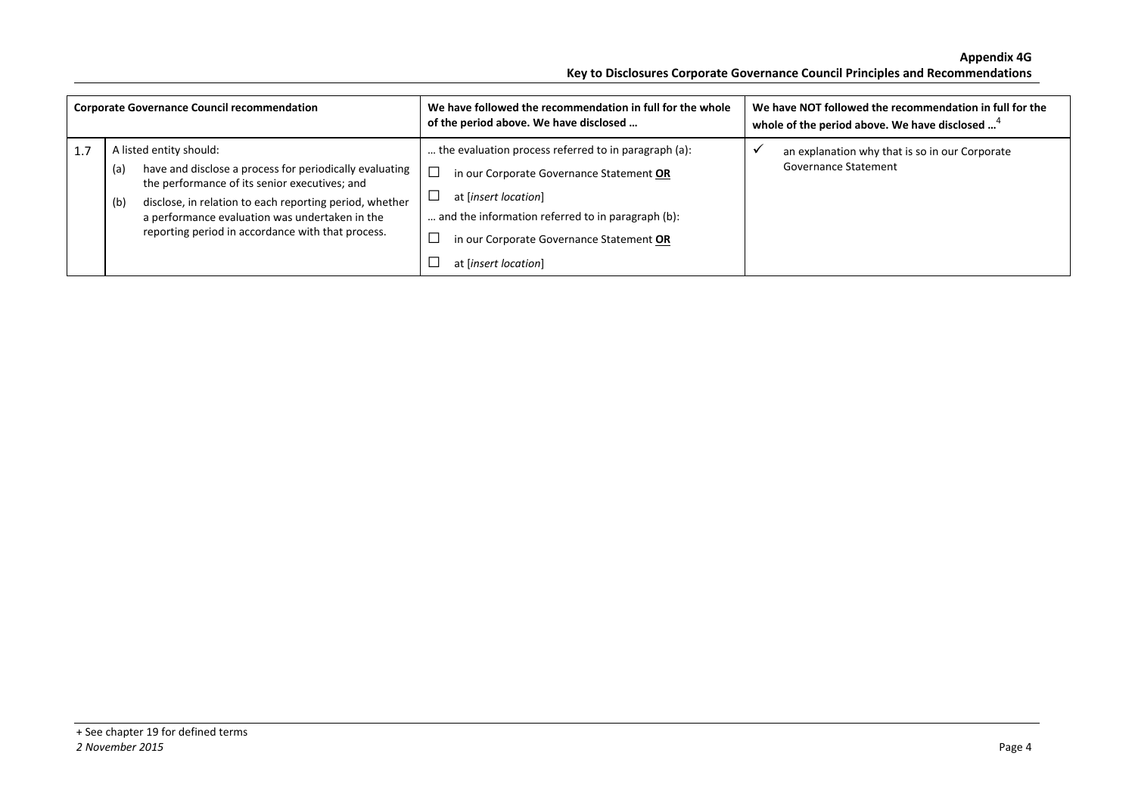| <b>Corporate Governance Council recommendation</b> |                                                                                                                                                                                                                                                                                                                     | We have followed the recommendation in full for the whole<br>of the period above. We have disclosed                                                                                                                                               | We have NOT followed the recommendation in full for the<br>whole of the period above. We have disclosed <sup>4</sup> |
|----------------------------------------------------|---------------------------------------------------------------------------------------------------------------------------------------------------------------------------------------------------------------------------------------------------------------------------------------------------------------------|---------------------------------------------------------------------------------------------------------------------------------------------------------------------------------------------------------------------------------------------------|----------------------------------------------------------------------------------------------------------------------|
|                                                    | A listed entity should:<br>have and disclose a process for periodically evaluating<br>(a)<br>the performance of its senior executives; and<br>disclose, in relation to each reporting period, whether<br>(b)<br>a performance evaluation was undertaken in the<br>reporting period in accordance with that process. | the evaluation process referred to in paragraph (a):<br>in our Corporate Governance Statement OR<br>at [insert location]<br>and the information referred to in paragraph (b):<br>in our Corporate Governance Statement OR<br>at [insert location] | an explanation why that is so in our Corporate<br>Governance Statement                                               |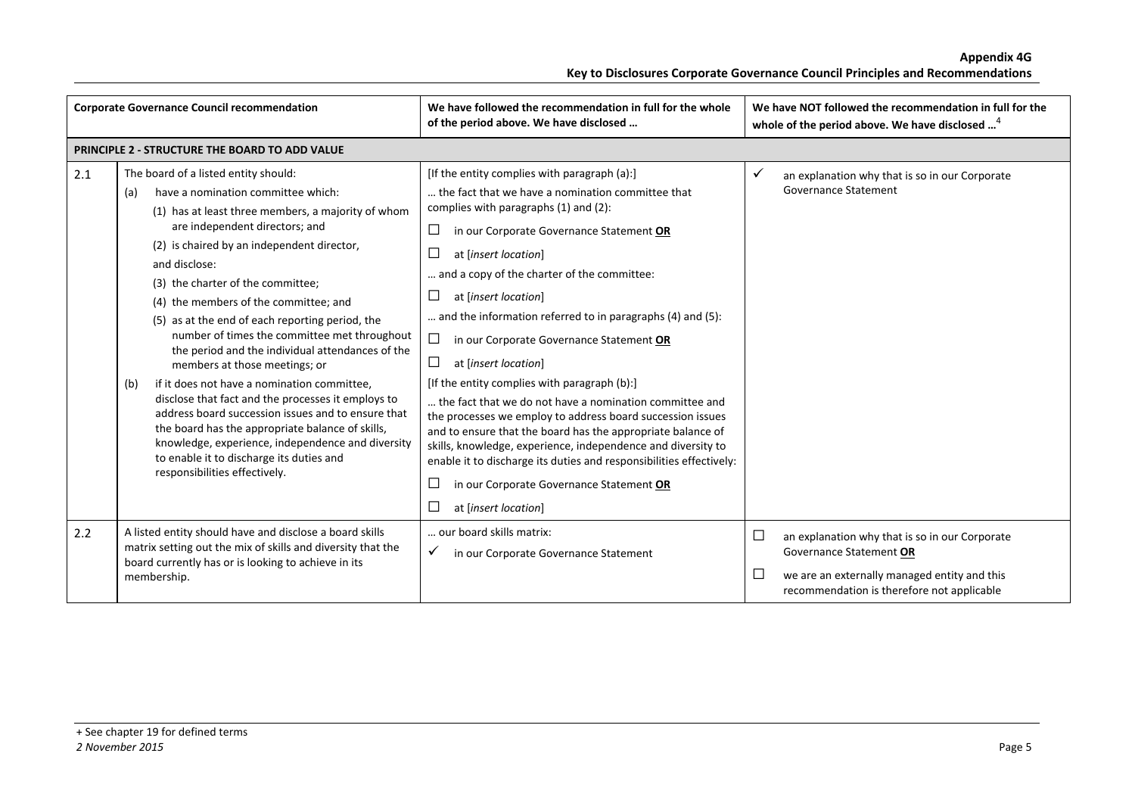| <b>Corporate Governance Council recommendation</b> |                                                                                                                                                                                                                                                                                                                                                                                                                                                                                                                                                                                                                                                                                                                                                                                                                                                                        | We have followed the recommendation in full for the whole<br>of the period above. We have disclosed                                                                                                                                                                                                                                                                                                                                                                                                                                                                                                                                                                                                                                                                                                                                                                                                      | We have NOT followed the recommendation in full for the<br>whole of the period above. We have disclosed <sup>4</sup>                                                                               |
|----------------------------------------------------|------------------------------------------------------------------------------------------------------------------------------------------------------------------------------------------------------------------------------------------------------------------------------------------------------------------------------------------------------------------------------------------------------------------------------------------------------------------------------------------------------------------------------------------------------------------------------------------------------------------------------------------------------------------------------------------------------------------------------------------------------------------------------------------------------------------------------------------------------------------------|----------------------------------------------------------------------------------------------------------------------------------------------------------------------------------------------------------------------------------------------------------------------------------------------------------------------------------------------------------------------------------------------------------------------------------------------------------------------------------------------------------------------------------------------------------------------------------------------------------------------------------------------------------------------------------------------------------------------------------------------------------------------------------------------------------------------------------------------------------------------------------------------------------|----------------------------------------------------------------------------------------------------------------------------------------------------------------------------------------------------|
|                                                    | PRINCIPLE 2 - STRUCTURE THE BOARD TO ADD VALUE                                                                                                                                                                                                                                                                                                                                                                                                                                                                                                                                                                                                                                                                                                                                                                                                                         |                                                                                                                                                                                                                                                                                                                                                                                                                                                                                                                                                                                                                                                                                                                                                                                                                                                                                                          |                                                                                                                                                                                                    |
| 2.1                                                | The board of a listed entity should:<br>have a nomination committee which:<br>(a)<br>(1) has at least three members, a majority of whom<br>are independent directors; and<br>(2) is chaired by an independent director,<br>and disclose:<br>(3) the charter of the committee;<br>(4) the members of the committee; and<br>(5) as at the end of each reporting period, the<br>number of times the committee met throughout<br>the period and the individual attendances of the<br>members at those meetings; or<br>if it does not have a nomination committee,<br>(b)<br>disclose that fact and the processes it employs to<br>address board succession issues and to ensure that<br>the board has the appropriate balance of skills,<br>knowledge, experience, independence and diversity<br>to enable it to discharge its duties and<br>responsibilities effectively. | [If the entity complies with paragraph (a):]<br>the fact that we have a nomination committee that<br>complies with paragraphs (1) and (2):<br>ப<br>in our Corporate Governance Statement OR<br>at [insert location]<br>and a copy of the charter of the committee:<br>ப<br>at [insert location]<br>and the information referred to in paragraphs (4) and (5):<br>$\Box$<br>in our Corporate Governance Statement OR<br>$\Box$<br>at [insert location]<br>[If the entity complies with paragraph (b):]<br>the fact that we do not have a nomination committee and<br>the processes we employ to address board succession issues<br>and to ensure that the board has the appropriate balance of<br>skills, knowledge, experience, independence and diversity to<br>enable it to discharge its duties and responsibilities effectively:<br>in our Corporate Governance Statement OR<br>at [insert location] | ✓<br>an explanation why that is so in our Corporate<br>Governance Statement                                                                                                                        |
| 2.2                                                | A listed entity should have and disclose a board skills<br>matrix setting out the mix of skills and diversity that the<br>board currently has or is looking to achieve in its<br>membership.                                                                                                                                                                                                                                                                                                                                                                                                                                                                                                                                                                                                                                                                           | our board skills matrix:<br>✓<br>in our Corporate Governance Statement                                                                                                                                                                                                                                                                                                                                                                                                                                                                                                                                                                                                                                                                                                                                                                                                                                   | $\Box$<br>an explanation why that is so in our Corporate<br>Governance Statement OR<br>$\mathcal{L}$<br>we are an externally managed entity and this<br>recommendation is therefore not applicable |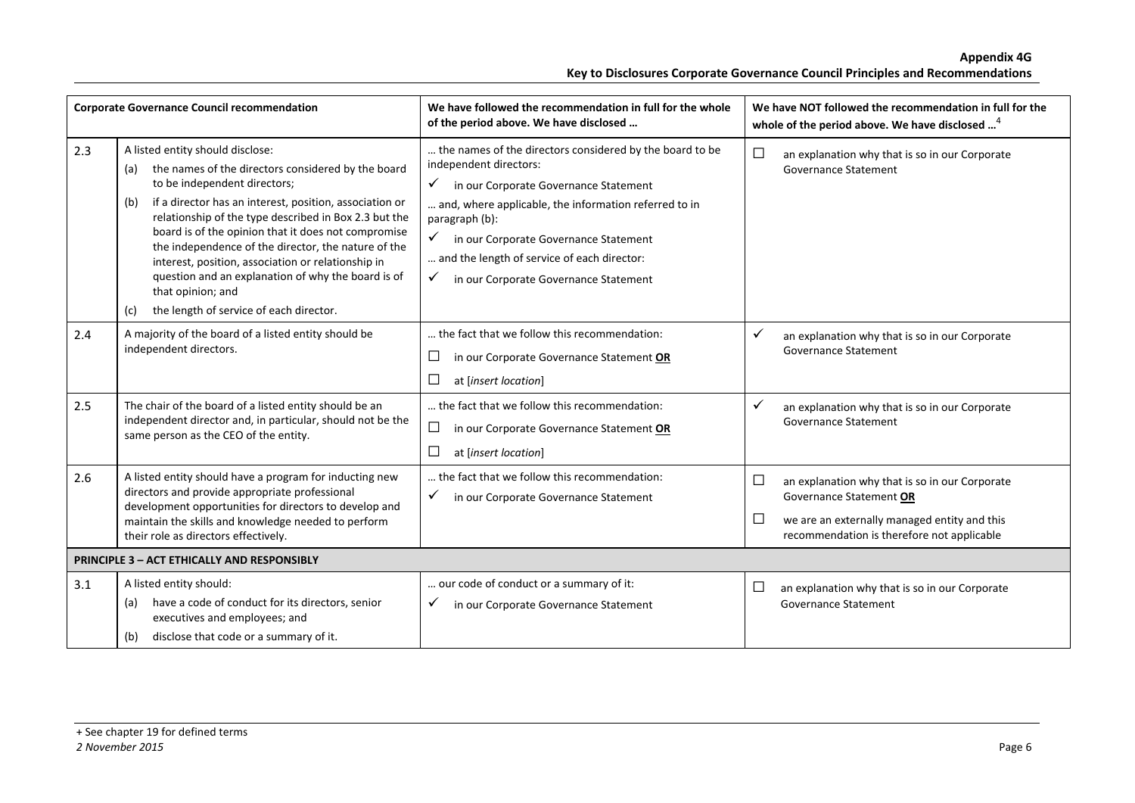|     | <b>Corporate Governance Council recommendation</b>                                                                                                                                                                                                                                                                                                                                                                                                                                                                                                        | We have followed the recommendation in full for the whole<br>of the period above. We have disclosed                                                                                                                                                                                                                                                    |                  | We have NOT followed the recommendation in full for the<br>whole of the period above. We have disclosed <sup>4</sup>                                                    |
|-----|-----------------------------------------------------------------------------------------------------------------------------------------------------------------------------------------------------------------------------------------------------------------------------------------------------------------------------------------------------------------------------------------------------------------------------------------------------------------------------------------------------------------------------------------------------------|--------------------------------------------------------------------------------------------------------------------------------------------------------------------------------------------------------------------------------------------------------------------------------------------------------------------------------------------------------|------------------|-------------------------------------------------------------------------------------------------------------------------------------------------------------------------|
| 2.3 | A listed entity should disclose:<br>the names of the directors considered by the board<br>(a)<br>to be independent directors;<br>if a director has an interest, position, association or<br>(b)<br>relationship of the type described in Box 2.3 but the<br>board is of the opinion that it does not compromise<br>the independence of the director, the nature of the<br>interest, position, association or relationship in<br>question and an explanation of why the board is of<br>that opinion; and<br>the length of service of each director.<br>(c) | the names of the directors considered by the board to be<br>independent directors:<br>✓<br>in our Corporate Governance Statement<br>and, where applicable, the information referred to in<br>paragraph (b):<br>✓<br>in our Corporate Governance Statement<br>and the length of service of each director:<br>✓<br>in our Corporate Governance Statement | $\Box$           | an explanation why that is so in our Corporate<br>Governance Statement                                                                                                  |
| 2.4 | A majority of the board of a listed entity should be<br>independent directors.                                                                                                                                                                                                                                                                                                                                                                                                                                                                            | the fact that we follow this recommendation:<br>$\Box$<br>in our Corporate Governance Statement OR<br>at [insert location]                                                                                                                                                                                                                             | $\checkmark$     | an explanation why that is so in our Corporate<br><b>Governance Statement</b>                                                                                           |
| 2.5 | The chair of the board of a listed entity should be an<br>independent director and, in particular, should not be the<br>same person as the CEO of the entity.                                                                                                                                                                                                                                                                                                                                                                                             | the fact that we follow this recommendation:<br>$\Box$<br>in our Corporate Governance Statement OR<br>□<br>at [insert location]                                                                                                                                                                                                                        | ✓                | an explanation why that is so in our Corporate<br><b>Governance Statement</b>                                                                                           |
| 2.6 | A listed entity should have a program for inducting new<br>directors and provide appropriate professional<br>development opportunities for directors to develop and<br>maintain the skills and knowledge needed to perform<br>their role as directors effectively.                                                                                                                                                                                                                                                                                        | the fact that we follow this recommendation:<br>✓<br>in our Corporate Governance Statement                                                                                                                                                                                                                                                             | $\Box$<br>$\Box$ | an explanation why that is so in our Corporate<br>Governance Statement OR<br>we are an externally managed entity and this<br>recommendation is therefore not applicable |
|     | <b>PRINCIPLE 3 - ACT ETHICALLY AND RESPONSIBLY</b>                                                                                                                                                                                                                                                                                                                                                                                                                                                                                                        |                                                                                                                                                                                                                                                                                                                                                        |                  |                                                                                                                                                                         |
| 3.1 | A listed entity should:<br>have a code of conduct for its directors, senior<br>(a)<br>executives and employees; and<br>disclose that code or a summary of it.<br>(b)                                                                                                                                                                                                                                                                                                                                                                                      | our code of conduct or a summary of it:<br>in our Corporate Governance Statement<br>✓                                                                                                                                                                                                                                                                  | $\Box$           | an explanation why that is so in our Corporate<br><b>Governance Statement</b>                                                                                           |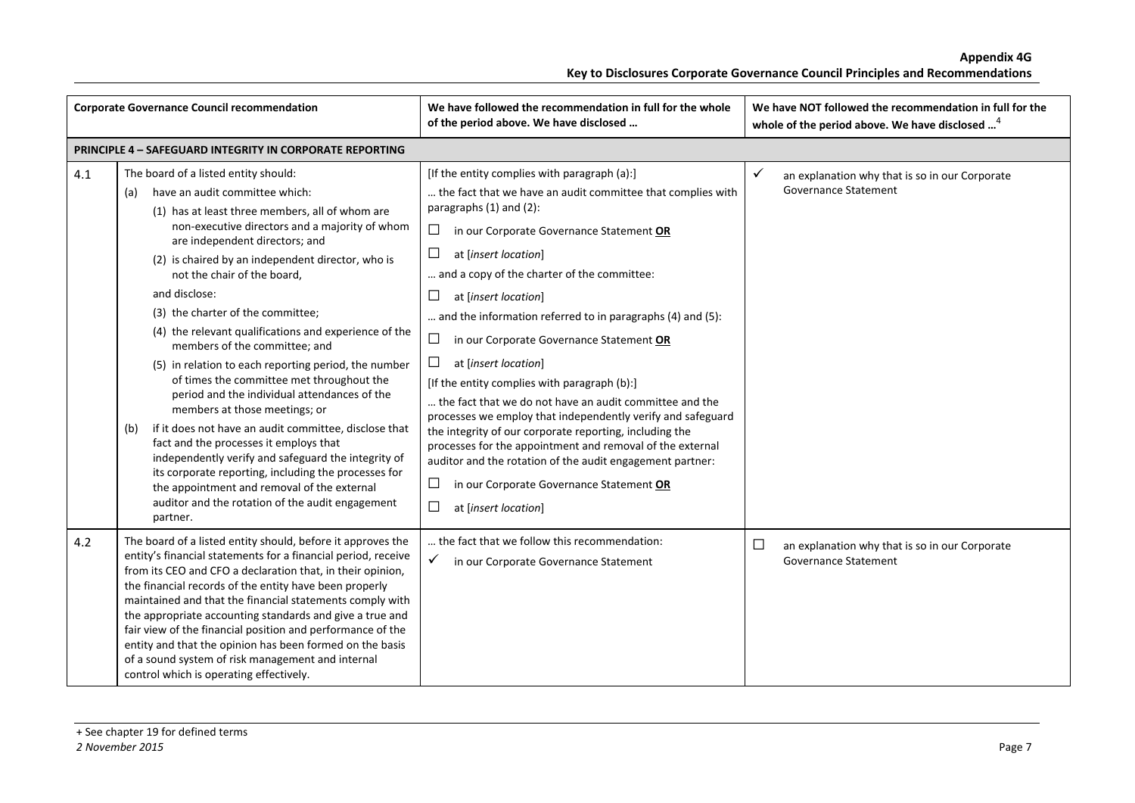| <b>Corporate Governance Council recommendation</b> |                                                                                                                                                                                                                                                                                                                                                                                                                                                                                                                                                                                                                                                                                                                                                                                                                                                                                                                                                                                        | We have followed the recommendation in full for the whole<br>of the period above. We have disclosed                                                                                                                                                                                                                                                                                                                                                                                                                                                                                                                                                                                                                                                                                                                                                                                                                     | We have NOT followed the recommendation in full for the<br>whole of the period above. We have disclosed <sup>4</sup> |
|----------------------------------------------------|----------------------------------------------------------------------------------------------------------------------------------------------------------------------------------------------------------------------------------------------------------------------------------------------------------------------------------------------------------------------------------------------------------------------------------------------------------------------------------------------------------------------------------------------------------------------------------------------------------------------------------------------------------------------------------------------------------------------------------------------------------------------------------------------------------------------------------------------------------------------------------------------------------------------------------------------------------------------------------------|-------------------------------------------------------------------------------------------------------------------------------------------------------------------------------------------------------------------------------------------------------------------------------------------------------------------------------------------------------------------------------------------------------------------------------------------------------------------------------------------------------------------------------------------------------------------------------------------------------------------------------------------------------------------------------------------------------------------------------------------------------------------------------------------------------------------------------------------------------------------------------------------------------------------------|----------------------------------------------------------------------------------------------------------------------|
|                                                    | <b>PRINCIPLE 4 - SAFEGUARD INTEGRITY IN CORPORATE REPORTING</b>                                                                                                                                                                                                                                                                                                                                                                                                                                                                                                                                                                                                                                                                                                                                                                                                                                                                                                                        |                                                                                                                                                                                                                                                                                                                                                                                                                                                                                                                                                                                                                                                                                                                                                                                                                                                                                                                         |                                                                                                                      |
| 4.1                                                | The board of a listed entity should:<br>have an audit committee which:<br>(a)<br>(1) has at least three members, all of whom are<br>non-executive directors and a majority of whom<br>are independent directors; and<br>(2) is chaired by an independent director, who is<br>not the chair of the board,<br>and disclose:<br>(3) the charter of the committee;<br>(4) the relevant qualifications and experience of the<br>members of the committee; and<br>(5) in relation to each reporting period, the number<br>of times the committee met throughout the<br>period and the individual attendances of the<br>members at those meetings; or<br>if it does not have an audit committee, disclose that<br>(b)<br>fact and the processes it employs that<br>independently verify and safeguard the integrity of<br>its corporate reporting, including the processes for<br>the appointment and removal of the external<br>auditor and the rotation of the audit engagement<br>partner. | [If the entity complies with paragraph (a):]<br>the fact that we have an audit committee that complies with<br>paragraphs (1) and (2):<br>$\Box$<br>in our Corporate Governance Statement OR<br>ப<br>at [insert location]<br>and a copy of the charter of the committee:<br>$\Box$<br>at [insert location]<br>and the information referred to in paragraphs (4) and (5):<br>$\Box$<br>in our Corporate Governance Statement OR<br>$\Box$<br>at [insert location]<br>[If the entity complies with paragraph (b):]<br>the fact that we do not have an audit committee and the<br>processes we employ that independently verify and safeguard<br>the integrity of our corporate reporting, including the<br>processes for the appointment and removal of the external<br>auditor and the rotation of the audit engagement partner:<br>$\Box$<br>in our Corporate Governance Statement OR<br>$\Box$<br>at [insert location] | an explanation why that is so in our Corporate<br><b>Governance Statement</b>                                        |
| 4.2                                                | The board of a listed entity should, before it approves the<br>entity's financial statements for a financial period, receive<br>from its CEO and CFO a declaration that, in their opinion,<br>the financial records of the entity have been properly<br>maintained and that the financial statements comply with<br>the appropriate accounting standards and give a true and<br>fair view of the financial position and performance of the<br>entity and that the opinion has been formed on the basis<br>of a sound system of risk management and internal<br>control which is operating effectively.                                                                                                                                                                                                                                                                                                                                                                                 | the fact that we follow this recommendation:<br>✓<br>in our Corporate Governance Statement                                                                                                                                                                                                                                                                                                                                                                                                                                                                                                                                                                                                                                                                                                                                                                                                                              | $\Box$<br>an explanation why that is so in our Corporate<br><b>Governance Statement</b>                              |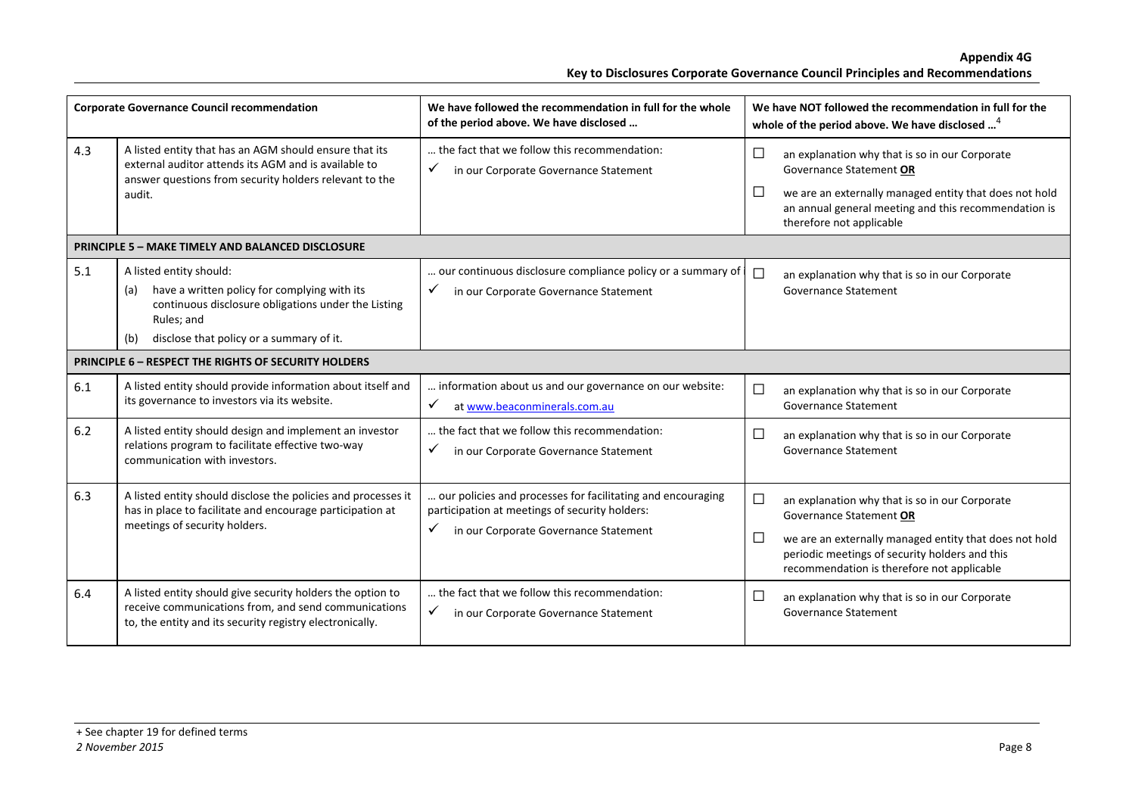|     | <b>Corporate Governance Council recommendation</b>                                                                                                                                                     | We have followed the recommendation in full for the whole<br>of the period above. We have disclosed                                                         |                    | We have NOT followed the recommendation in full for the<br>whole of the period above. We have disclosed <sup>4</sup>                                                                                                                |
|-----|--------------------------------------------------------------------------------------------------------------------------------------------------------------------------------------------------------|-------------------------------------------------------------------------------------------------------------------------------------------------------------|--------------------|-------------------------------------------------------------------------------------------------------------------------------------------------------------------------------------------------------------------------------------|
| 4.3 | A listed entity that has an AGM should ensure that its<br>external auditor attends its AGM and is available to<br>answer questions from security holders relevant to the<br>audit.                     | the fact that we follow this recommendation:<br>$\checkmark$<br>in our Corporate Governance Statement                                                       | $\Box$<br>$\Box$   | an explanation why that is so in our Corporate<br>Governance Statement OR<br>we are an externally managed entity that does not hold<br>an annual general meeting and this recommendation is<br>therefore not applicable             |
|     | <b>PRINCIPLE 5 - MAKE TIMELY AND BALANCED DISCLOSURE</b>                                                                                                                                               |                                                                                                                                                             |                    |                                                                                                                                                                                                                                     |
| 5.1 | A listed entity should:<br>have a written policy for complying with its<br>(a)<br>continuous disclosure obligations under the Listing<br>Rules; and<br>disclose that policy or a summary of it.<br>(b) | our continuous disclosure compliance policy or a summary of<br>in our Corporate Governance Statement<br>✓                                                   | $\Box$             | an explanation why that is so in our Corporate<br>Governance Statement                                                                                                                                                              |
|     | PRINCIPLE 6 - RESPECT THE RIGHTS OF SECURITY HOLDERS                                                                                                                                                   |                                                                                                                                                             |                    |                                                                                                                                                                                                                                     |
| 6.1 | A listed entity should provide information about itself and<br>its governance to investors via its website.                                                                                            | information about us and our governance on our website:<br>$\checkmark$<br>at www.beaconminerals.com.au                                                     | $\Box$             | an explanation why that is so in our Corporate<br><b>Governance Statement</b>                                                                                                                                                       |
| 6.2 | A listed entity should design and implement an investor<br>relations program to facilitate effective two-way<br>communication with investors.                                                          | the fact that we follow this recommendation:<br>✓<br>in our Corporate Governance Statement                                                                  | $\Box$             | an explanation why that is so in our Corporate<br>Governance Statement                                                                                                                                                              |
| 6.3 | A listed entity should disclose the policies and processes it<br>has in place to facilitate and encourage participation at<br>meetings of security holders.                                            | our policies and processes for facilitating and encouraging<br>participation at meetings of security holders:<br>✓<br>in our Corporate Governance Statement | ப<br>$\mathcal{L}$ | an explanation why that is so in our Corporate<br>Governance Statement OR<br>we are an externally managed entity that does not hold<br>periodic meetings of security holders and this<br>recommendation is therefore not applicable |
| 6.4 | A listed entity should give security holders the option to<br>receive communications from, and send communications<br>to, the entity and its security registry electronically.                         | the fact that we follow this recommendation:<br>✓<br>in our Corporate Governance Statement                                                                  | □                  | an explanation why that is so in our Corporate<br>Governance Statement                                                                                                                                                              |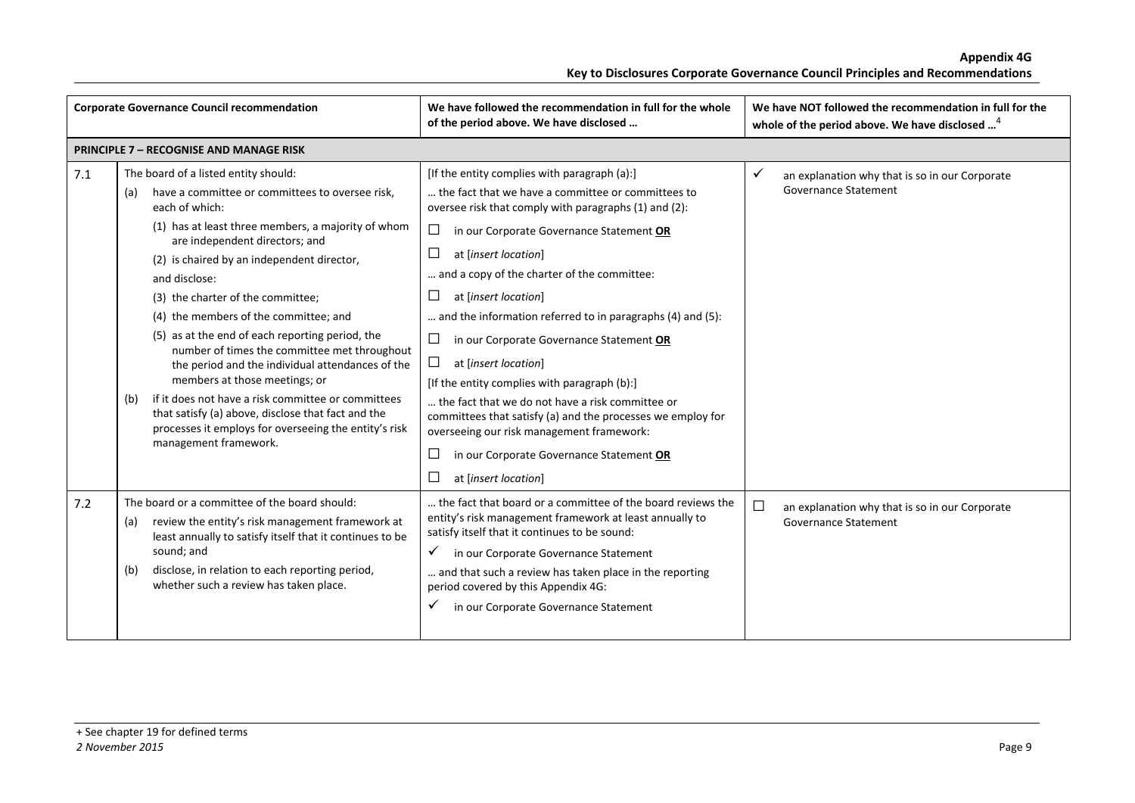|     | <b>Corporate Governance Council recommendation</b>                                                                                                                                                                                                                                                                                                                                                                                                                                                                                                                                                                                                                                                                                                 | We have followed the recommendation in full for the whole<br>of the period above. We have disclosed                                                                                                                                                                                                                                                                                                                                                                                                                                                                                                                                                                                                                                                        | We have NOT followed the recommendation in full for the<br>whole of the period above. We have disclosed <sup>4</sup> |
|-----|----------------------------------------------------------------------------------------------------------------------------------------------------------------------------------------------------------------------------------------------------------------------------------------------------------------------------------------------------------------------------------------------------------------------------------------------------------------------------------------------------------------------------------------------------------------------------------------------------------------------------------------------------------------------------------------------------------------------------------------------------|------------------------------------------------------------------------------------------------------------------------------------------------------------------------------------------------------------------------------------------------------------------------------------------------------------------------------------------------------------------------------------------------------------------------------------------------------------------------------------------------------------------------------------------------------------------------------------------------------------------------------------------------------------------------------------------------------------------------------------------------------------|----------------------------------------------------------------------------------------------------------------------|
|     | <b>PRINCIPLE 7 - RECOGNISE AND MANAGE RISK</b>                                                                                                                                                                                                                                                                                                                                                                                                                                                                                                                                                                                                                                                                                                     |                                                                                                                                                                                                                                                                                                                                                                                                                                                                                                                                                                                                                                                                                                                                                            |                                                                                                                      |
| 7.1 | The board of a listed entity should:<br>have a committee or committees to oversee risk,<br>(a)<br>each of which:<br>(1) has at least three members, a majority of whom<br>are independent directors; and<br>(2) is chaired by an independent director,<br>and disclose:<br>(3) the charter of the committee;<br>(4) the members of the committee; and<br>(5) as at the end of each reporting period, the<br>number of times the committee met throughout<br>the period and the individual attendances of the<br>members at those meetings; or<br>if it does not have a risk committee or committees<br>(b)<br>that satisfy (a) above, disclose that fact and the<br>processes it employs for overseeing the entity's risk<br>management framework. | [If the entity complies with paragraph (a):]<br>the fact that we have a committee or committees to<br>oversee risk that comply with paragraphs (1) and (2):<br>$\Box$<br>in our Corporate Governance Statement OR<br>at [insert location]<br>and a copy of the charter of the committee:<br>$\Box$<br>at [insert location]<br>and the information referred to in paragraphs (4) and (5):<br>ப<br>in our Corporate Governance Statement OR<br>ப<br>at [insert location]<br>[If the entity complies with paragraph (b):]<br>the fact that we do not have a risk committee or<br>committees that satisfy (a) and the processes we employ for<br>overseeing our risk management framework:<br>in our Corporate Governance Statement OR<br>at [insert location] | ✓<br>an explanation why that is so in our Corporate<br><b>Governance Statement</b>                                   |
| 7.2 | The board or a committee of the board should:<br>review the entity's risk management framework at<br>(a)<br>least annually to satisfy itself that it continues to be<br>sound; and<br>disclose, in relation to each reporting period,<br>(b)<br>whether such a review has taken place.                                                                                                                                                                                                                                                                                                                                                                                                                                                             | the fact that board or a committee of the board reviews the<br>entity's risk management framework at least annually to<br>satisfy itself that it continues to be sound:<br>in our Corporate Governance Statement<br>$\checkmark$<br>and that such a review has taken place in the reporting<br>period covered by this Appendix 4G:<br>in our Corporate Governance Statement                                                                                                                                                                                                                                                                                                                                                                                | □<br>an explanation why that is so in our Corporate<br><b>Governance Statement</b>                                   |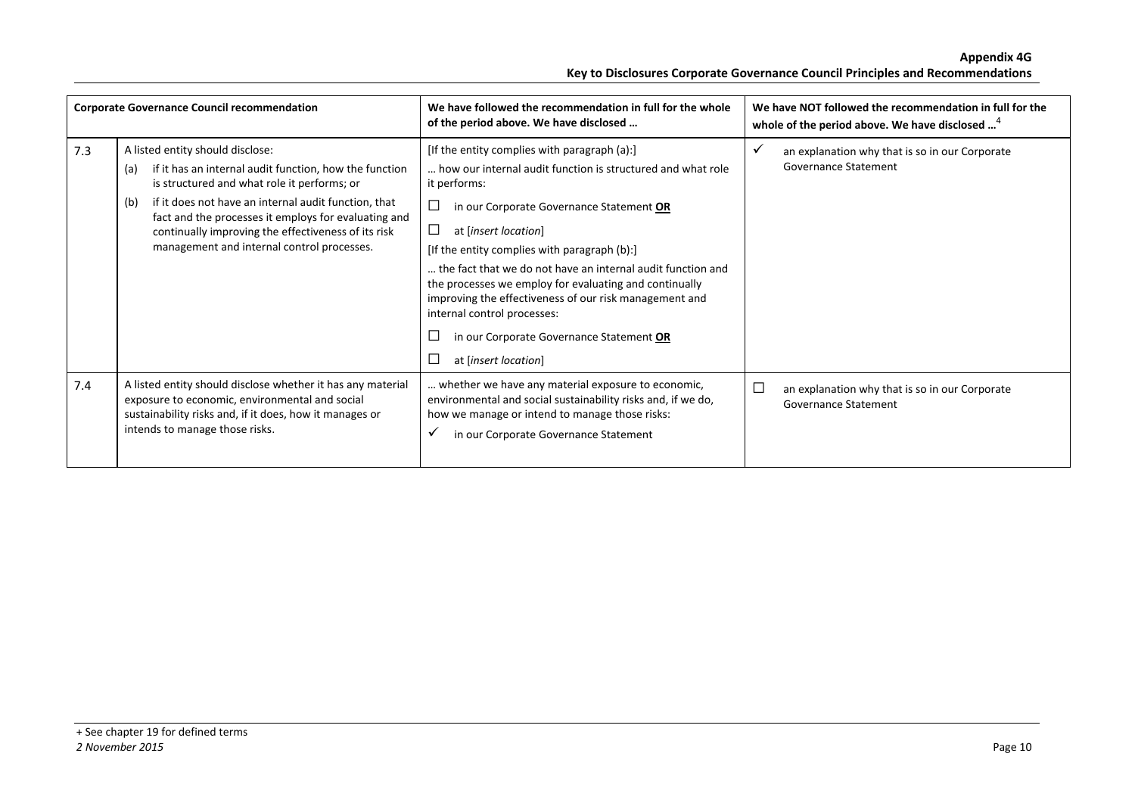|     | <b>Corporate Governance Council recommendation</b>                                                                                                                                                                                                                                                                                                                           | We have followed the recommendation in full for the whole<br>of the period above. We have disclosed                                                                                                                                                                                                                                                                                                                                                                                                                                   | We have NOT followed the recommendation in full for the<br>whole of the period above. We have disclosed <sup>4</sup> |
|-----|------------------------------------------------------------------------------------------------------------------------------------------------------------------------------------------------------------------------------------------------------------------------------------------------------------------------------------------------------------------------------|---------------------------------------------------------------------------------------------------------------------------------------------------------------------------------------------------------------------------------------------------------------------------------------------------------------------------------------------------------------------------------------------------------------------------------------------------------------------------------------------------------------------------------------|----------------------------------------------------------------------------------------------------------------------|
| 7.3 | A listed entity should disclose:<br>if it has an internal audit function, how the function<br>(a)<br>is structured and what role it performs; or<br>if it does not have an internal audit function, that<br>(b)<br>fact and the processes it employs for evaluating and<br>continually improving the effectiveness of its risk<br>management and internal control processes. | [If the entity complies with paragraph (a):]<br>how our internal audit function is structured and what role<br>it performs:<br>in our Corporate Governance Statement OR<br>at [insert location]<br>[If the entity complies with paragraph (b):]<br>the fact that we do not have an internal audit function and<br>the processes we employ for evaluating and continually<br>improving the effectiveness of our risk management and<br>internal control processes:<br>in our Corporate Governance Statement OR<br>at [insert location] | an explanation why that is so in our Corporate<br>Governance Statement                                               |
| 7.4 | A listed entity should disclose whether it has any material<br>exposure to economic, environmental and social<br>sustainability risks and, if it does, how it manages or<br>intends to manage those risks.                                                                                                                                                                   | whether we have any material exposure to economic,<br>environmental and social sustainability risks and, if we do,<br>how we manage or intend to manage those risks:<br>in our Corporate Governance Statement<br>v                                                                                                                                                                                                                                                                                                                    | □<br>an explanation why that is so in our Corporate<br>Governance Statement                                          |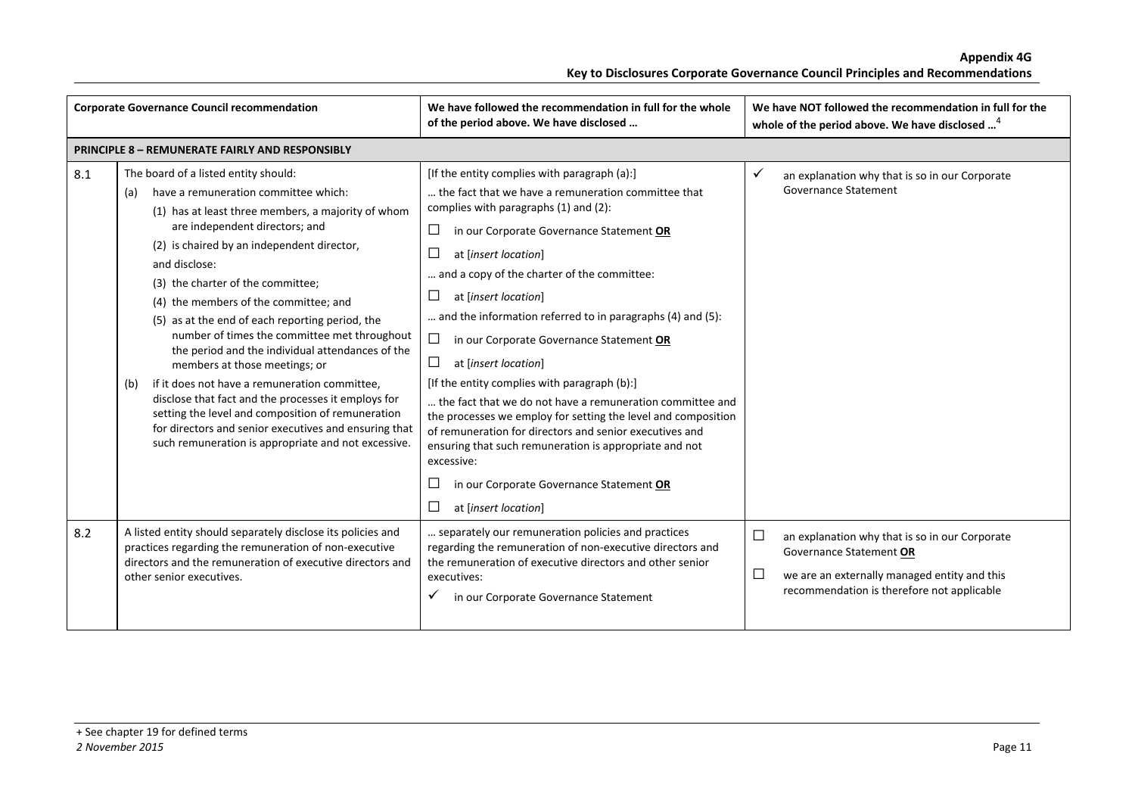| <b>Corporate Governance Council recommendation</b> |                                                                                                                                                                                                                                                                                                                                                                                                                                                                                                                                                                                                                                                                                                                                                                                                      | We have followed the recommendation in full for the whole<br>of the period above. We have disclosed                                                                                                                                                                                                                                                                                                                                                                                                                                                                                                                                                                                                                                                                                                                                                    | We have NOT followed the recommendation in full for the<br>whole of the period above. We have disclosed <sup>4</sup>                                                                        |
|----------------------------------------------------|------------------------------------------------------------------------------------------------------------------------------------------------------------------------------------------------------------------------------------------------------------------------------------------------------------------------------------------------------------------------------------------------------------------------------------------------------------------------------------------------------------------------------------------------------------------------------------------------------------------------------------------------------------------------------------------------------------------------------------------------------------------------------------------------------|--------------------------------------------------------------------------------------------------------------------------------------------------------------------------------------------------------------------------------------------------------------------------------------------------------------------------------------------------------------------------------------------------------------------------------------------------------------------------------------------------------------------------------------------------------------------------------------------------------------------------------------------------------------------------------------------------------------------------------------------------------------------------------------------------------------------------------------------------------|---------------------------------------------------------------------------------------------------------------------------------------------------------------------------------------------|
|                                                    | <b>PRINCIPLE 8 - REMUNERATE FAIRLY AND RESPONSIBLY</b>                                                                                                                                                                                                                                                                                                                                                                                                                                                                                                                                                                                                                                                                                                                                               |                                                                                                                                                                                                                                                                                                                                                                                                                                                                                                                                                                                                                                                                                                                                                                                                                                                        |                                                                                                                                                                                             |
| 8.1                                                | The board of a listed entity should:<br>have a remuneration committee which:<br>(a)<br>(1) has at least three members, a majority of whom<br>are independent directors; and<br>(2) is chaired by an independent director,<br>and disclose:<br>(3) the charter of the committee;<br>(4) the members of the committee; and<br>(5) as at the end of each reporting period, the<br>number of times the committee met throughout<br>the period and the individual attendances of the<br>members at those meetings; or<br>if it does not have a remuneration committee,<br>(b)<br>disclose that fact and the processes it employs for<br>setting the level and composition of remuneration<br>for directors and senior executives and ensuring that<br>such remuneration is appropriate and not excessive. | [If the entity complies with paragraph (a):]<br>the fact that we have a remuneration committee that<br>complies with paragraphs (1) and (2):<br>□<br>in our Corporate Governance Statement OR<br>$\Box$<br>at [insert location]<br>and a copy of the charter of the committee:<br>ப<br>at [insert location]<br>and the information referred to in paragraphs (4) and (5):<br>$\Box$<br>in our Corporate Governance Statement OR<br>$\Box$<br>at [insert location]<br>[If the entity complies with paragraph (b):]<br>the fact that we do not have a remuneration committee and<br>the processes we employ for setting the level and composition<br>of remuneration for directors and senior executives and<br>ensuring that such remuneration is appropriate and not<br>excessive:<br>in our Corporate Governance Statement OR<br>at [insert location] | $\checkmark$<br>an explanation why that is so in our Corporate<br><b>Governance Statement</b>                                                                                               |
| 8.2                                                | A listed entity should separately disclose its policies and<br>practices regarding the remuneration of non-executive<br>directors and the remuneration of executive directors and<br>other senior executives.                                                                                                                                                                                                                                                                                                                                                                                                                                                                                                                                                                                        | separately our remuneration policies and practices<br>regarding the remuneration of non-executive directors and<br>the remuneration of executive directors and other senior<br>executives:<br>in our Corporate Governance Statement                                                                                                                                                                                                                                                                                                                                                                                                                                                                                                                                                                                                                    | $\Box$<br>an explanation why that is so in our Corporate<br>Governance Statement OR<br>$\Box$<br>we are an externally managed entity and this<br>recommendation is therefore not applicable |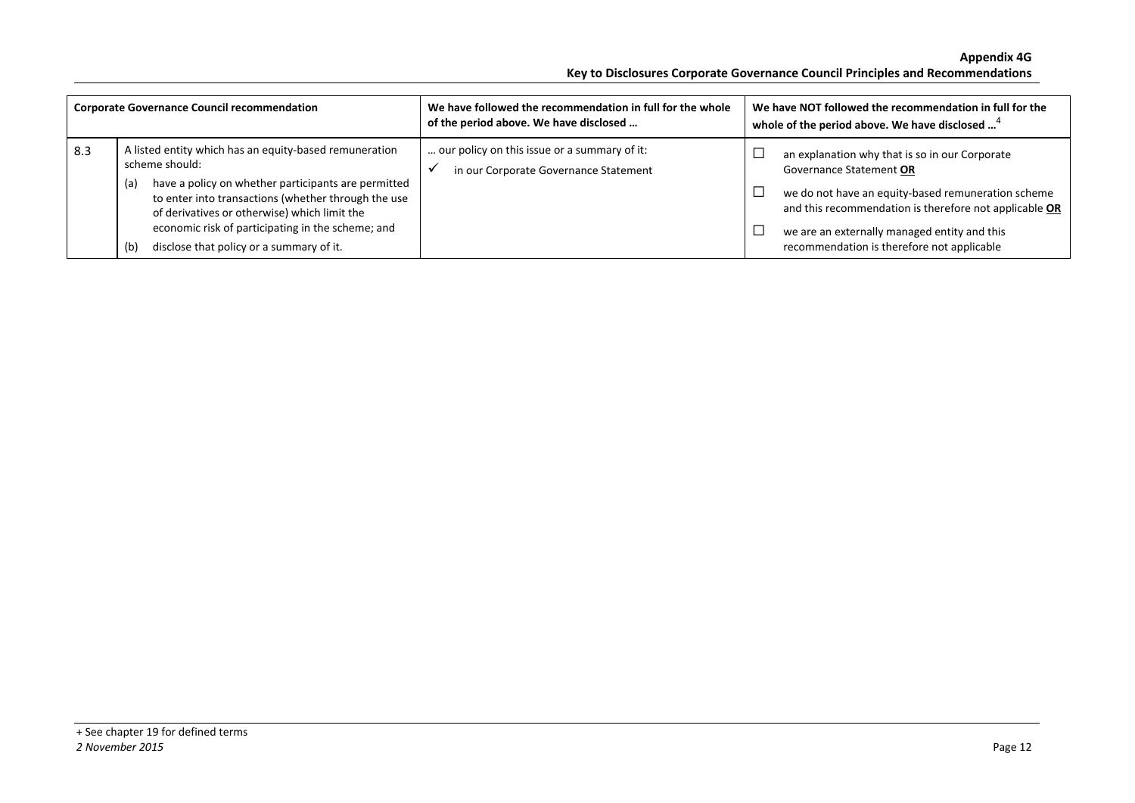| <b>Corporate Governance Council recommendation</b> |                                                                                                                                                                                                                                                                                                                                                       | We have followed the recommendation in full for the whole<br>of the period above. We have disclosed | We have NOT followed the recommendation in full for the<br>whole of the period above. We have disclosed <sup>4</sup>                                                                                                                                                                    |
|----------------------------------------------------|-------------------------------------------------------------------------------------------------------------------------------------------------------------------------------------------------------------------------------------------------------------------------------------------------------------------------------------------------------|-----------------------------------------------------------------------------------------------------|-----------------------------------------------------------------------------------------------------------------------------------------------------------------------------------------------------------------------------------------------------------------------------------------|
| 8.3                                                | A listed entity which has an equity-based remuneration<br>scheme should:<br>have a policy on whether participants are permitted<br>(a)<br>to enter into transactions (whether through the use<br>of derivatives or otherwise) which limit the<br>economic risk of participating in the scheme; and<br>disclose that policy or a summary of it.<br>(b) | our policy on this issue or a summary of it:<br>in our Corporate Governance Statement               | an explanation why that is so in our Corporate<br>Governance Statement OR<br>we do not have an equity-based remuneration scheme<br>and this recommendation is therefore not applicable OR<br>we are an externally managed entity and this<br>recommendation is therefore not applicable |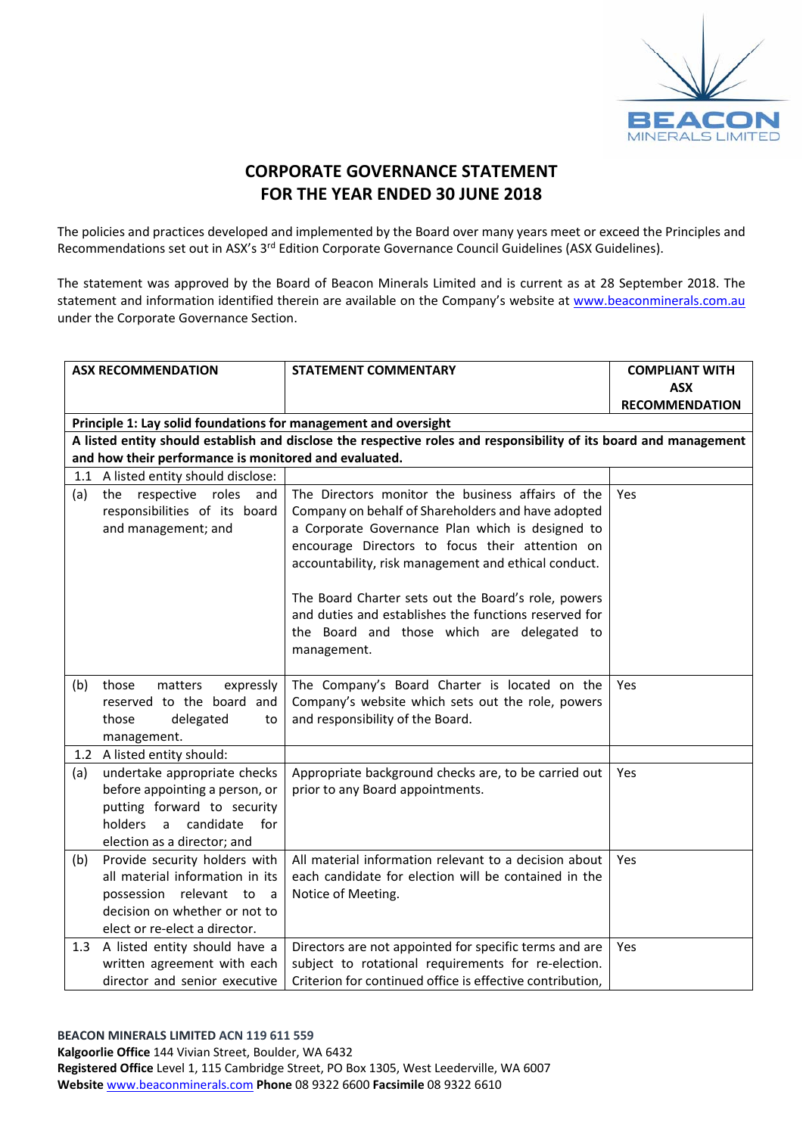

## **CORPORATE GOVERNANCE STATEMENT FOR THE YEAR ENDED 30 JUNE 2018**

The policies and practices developed and implemented by the Board over many years meet or exceed the Principles and Recommendations set out in ASX's 3<sup>rd</sup> Edition Corporate Governance Council Guidelines (ASX Guidelines).

The statement was approved by the Board of Beacon Minerals Limited and is current as at 28 September 2018. The statement and information identified therein are available on the Company's website at www.beaconminerals.com.au under the Corporate Governance Section.

|     | <b>ASX RECOMMENDATION</b>                                       | <b>STATEMENT COMMENTARY</b>                                                                                       | <b>COMPLIANT WITH</b> |
|-----|-----------------------------------------------------------------|-------------------------------------------------------------------------------------------------------------------|-----------------------|
|     |                                                                 |                                                                                                                   | <b>ASX</b>            |
|     |                                                                 |                                                                                                                   | <b>RECOMMENDATION</b> |
|     | Principle 1: Lay solid foundations for management and oversight |                                                                                                                   |                       |
|     |                                                                 | A listed entity should establish and disclose the respective roles and responsibility of its board and management |                       |
|     | and how their performance is monitored and evaluated.           |                                                                                                                   |                       |
|     | 1.1 A listed entity should disclose:                            |                                                                                                                   |                       |
| (a) | the respective roles<br>and                                     | The Directors monitor the business affairs of the                                                                 | Yes                   |
|     | responsibilities of its board                                   | Company on behalf of Shareholders and have adopted                                                                |                       |
|     | and management; and                                             | a Corporate Governance Plan which is designed to                                                                  |                       |
|     |                                                                 | encourage Directors to focus their attention on                                                                   |                       |
|     |                                                                 | accountability, risk management and ethical conduct.                                                              |                       |
|     |                                                                 | The Board Charter sets out the Board's role, powers                                                               |                       |
|     |                                                                 | and duties and establishes the functions reserved for                                                             |                       |
|     |                                                                 | the Board and those which are delegated to                                                                        |                       |
|     |                                                                 | management.                                                                                                       |                       |
|     |                                                                 |                                                                                                                   |                       |
| (b) | those<br>matters<br>expressly                                   | The Company's Board Charter is located on the                                                                     | Yes                   |
|     | reserved to the board and                                       | Company's website which sets out the role, powers                                                                 |                       |
|     | those<br>delegated<br>to                                        | and responsibility of the Board.                                                                                  |                       |
|     | management.                                                     |                                                                                                                   |                       |
|     | 1.2 A listed entity should:                                     |                                                                                                                   |                       |
| (a) | undertake appropriate checks                                    | Appropriate background checks are, to be carried out                                                              | <b>Yes</b>            |
|     | before appointing a person, or                                  | prior to any Board appointments.                                                                                  |                       |
|     | putting forward to security                                     |                                                                                                                   |                       |
|     | holders<br>a candidate<br>for                                   |                                                                                                                   |                       |
|     | election as a director; and                                     |                                                                                                                   |                       |
| (b) | Provide security holders with                                   | All material information relevant to a decision about                                                             | Yes                   |
|     | all material information in its                                 | each candidate for election will be contained in the                                                              |                       |
|     | possession relevant to a                                        | Notice of Meeting.                                                                                                |                       |
|     | decision on whether or not to                                   |                                                                                                                   |                       |
|     | elect or re-elect a director.                                   |                                                                                                                   |                       |
| 1.3 | A listed entity should have a                                   | Directors are not appointed for specific terms and are                                                            | <b>Yes</b>            |
|     | written agreement with each                                     | subject to rotational requirements for re-election.                                                               |                       |
|     | director and senior executive                                   | Criterion for continued office is effective contribution,                                                         |                       |

### **BEACON MINERALS LIMITED ACN 119 611 559**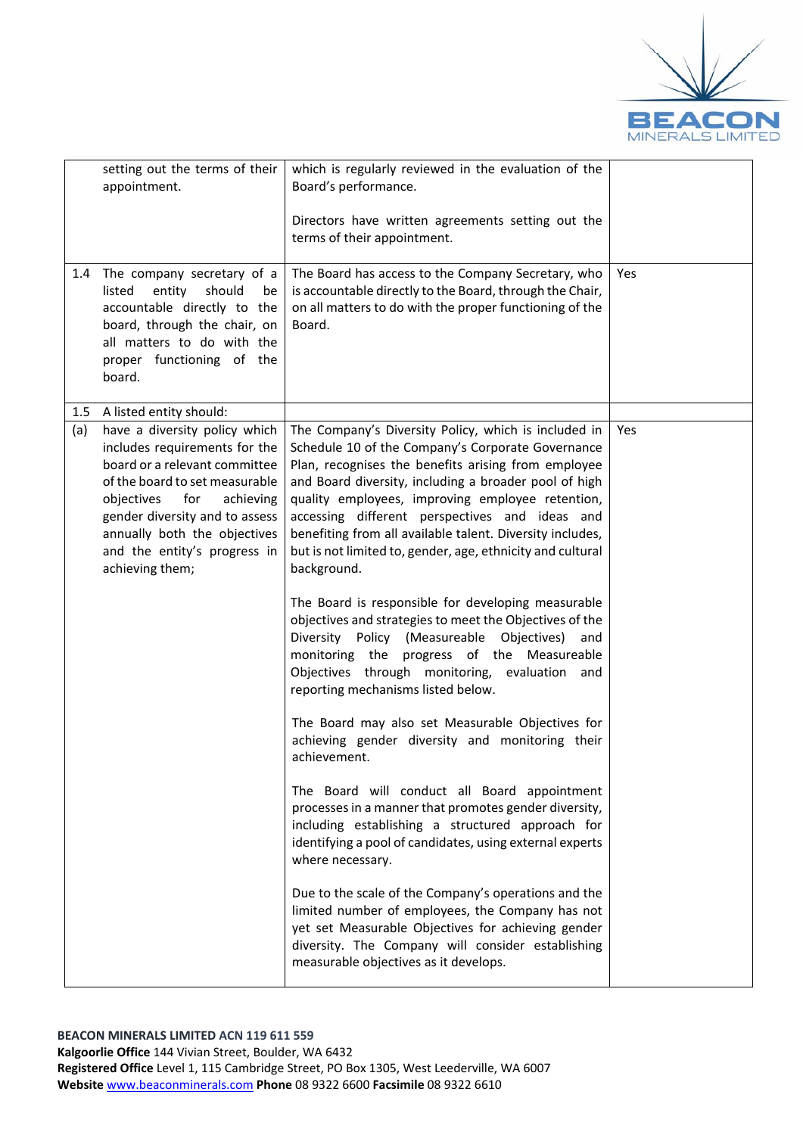

|         | setting out the terms of their<br>appointment.                                                                                                                                                                                                                                           | which is regularly reviewed in the evaluation of the<br>Board's performance.                                                                                                                                                                                                                                                                                                                                                                                              |     |
|---------|------------------------------------------------------------------------------------------------------------------------------------------------------------------------------------------------------------------------------------------------------------------------------------------|---------------------------------------------------------------------------------------------------------------------------------------------------------------------------------------------------------------------------------------------------------------------------------------------------------------------------------------------------------------------------------------------------------------------------------------------------------------------------|-----|
|         |                                                                                                                                                                                                                                                                                          | Directors have written agreements setting out the<br>terms of their appointment.                                                                                                                                                                                                                                                                                                                                                                                          |     |
| 1.4     | The company secretary of a<br>listed<br>entity<br>should<br>be<br>accountable directly to the<br>board, through the chair, on<br>all matters to do with the<br>proper functioning of the<br>board.                                                                                       | The Board has access to the Company Secretary, who<br>is accountable directly to the Board, through the Chair,<br>on all matters to do with the proper functioning of the<br>Board.                                                                                                                                                                                                                                                                                       | Yes |
| $1.5\,$ | A listed entity should:                                                                                                                                                                                                                                                                  |                                                                                                                                                                                                                                                                                                                                                                                                                                                                           |     |
| (a)     | have a diversity policy which<br>includes requirements for the<br>board or a relevant committee<br>of the board to set measurable<br>objectives<br>for<br>achieving<br>gender diversity and to assess<br>annually both the objectives<br>and the entity's progress in<br>achieving them; | The Company's Diversity Policy, which is included in<br>Schedule 10 of the Company's Corporate Governance<br>Plan, recognises the benefits arising from employee<br>and Board diversity, including a broader pool of high<br>quality employees, improving employee retention,<br>accessing different perspectives and ideas and<br>benefiting from all available talent. Diversity includes,<br>but is not limited to, gender, age, ethnicity and cultural<br>background. | Yes |
|         |                                                                                                                                                                                                                                                                                          | The Board is responsible for developing measurable<br>objectives and strategies to meet the Objectives of the<br>Diversity Policy (Measureable Objectives)<br>and<br>monitoring the progress of the Measureable<br>Objectives through monitoring, evaluation<br>and<br>reporting mechanisms listed below.                                                                                                                                                                 |     |
|         |                                                                                                                                                                                                                                                                                          | The Board may also set Measurable Objectives for<br>achieving gender diversity and monitoring their<br>achievement.                                                                                                                                                                                                                                                                                                                                                       |     |
|         |                                                                                                                                                                                                                                                                                          | The Board will conduct all Board appointment<br>processes in a manner that promotes gender diversity,<br>including establishing a structured approach for<br>identifying a pool of candidates, using external experts<br>where necessary.                                                                                                                                                                                                                                 |     |
|         |                                                                                                                                                                                                                                                                                          | Due to the scale of the Company's operations and the<br>limited number of employees, the Company has not<br>yet set Measurable Objectives for achieving gender<br>diversity. The Company will consider establishing<br>measurable objectives as it develops.                                                                                                                                                                                                              |     |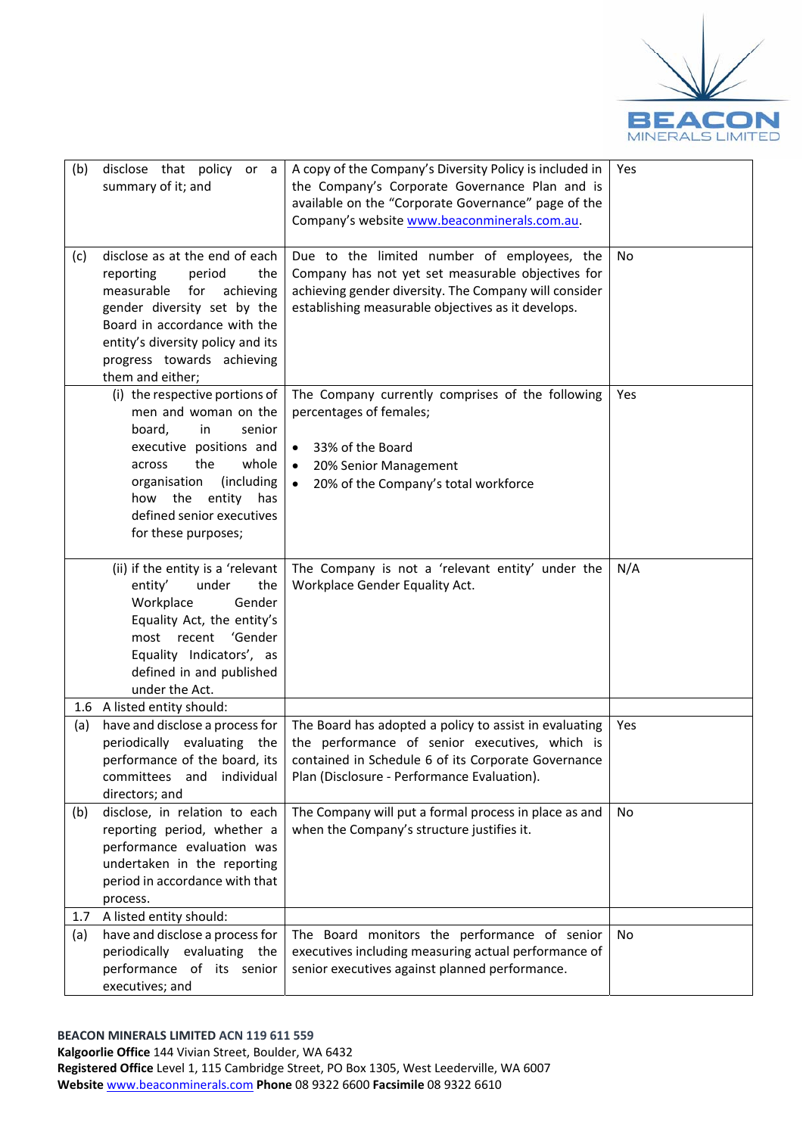

| (b) | disclose that policy or a<br>summary of it; and                                                                                                                                                                                                      | A copy of the Company's Diversity Policy is included in<br>the Company's Corporate Governance Plan and is<br>available on the "Corporate Governance" page of the<br>Company's website www.beaconminerals.com.au.                                       | Yes |
|-----|------------------------------------------------------------------------------------------------------------------------------------------------------------------------------------------------------------------------------------------------------|--------------------------------------------------------------------------------------------------------------------------------------------------------------------------------------------------------------------------------------------------------|-----|
| (c) | disclose as at the end of each<br>reporting<br>period<br>the<br>measurable<br>for<br>achieving<br>gender diversity set by the<br>Board in accordance with the<br>entity's diversity policy and its<br>progress towards achieving<br>them and either; | Due to the limited number of employees, the<br>Company has not yet set measurable objectives for<br>achieving gender diversity. The Company will consider<br>establishing measurable objectives as it develops.                                        | No  |
|     | (i) the respective portions of<br>men and woman on the<br>board,<br>in<br>senior<br>executive positions and<br>the<br>whole<br>across<br>(including<br>organisation<br>how the<br>entity<br>has<br>defined senior executives<br>for these purposes;  | The Company currently comprises of the following<br>percentages of females;<br>33% of the Board<br>$\bullet$<br>20% Senior Management<br>$\bullet$<br>20% of the Company's total workforce<br>$\bullet$                                                | Yes |
|     | (ii) if the entity is a 'relevant<br>entity'<br>under<br>the<br>Workplace<br>Gender<br>Equality Act, the entity's<br>most recent<br>'Gender<br>Equality Indicators', as<br>defined in and published<br>under the Act.                                | The Company is not a 'relevant entity' under the<br>Workplace Gender Equality Act.                                                                                                                                                                     | N/A |
| 1.6 | A listed entity should:                                                                                                                                                                                                                              |                                                                                                                                                                                                                                                        |     |
| (a) | periodically evaluating the<br>performance of the board, its<br>individual<br>committees and<br>directors; and                                                                                                                                       | have and disclose a process for $\vert$ The Board has adopted a policy to assist in evaluating<br>the performance of senior executives, which is<br>contained in Schedule 6 of its Corporate Governance<br>Plan (Disclosure - Performance Evaluation). | Yes |
| (b) | disclose, in relation to each<br>reporting period, whether a<br>performance evaluation was<br>undertaken in the reporting<br>period in accordance with that<br>process.                                                                              | The Company will put a formal process in place as and<br>when the Company's structure justifies it.                                                                                                                                                    | No  |
| 1.7 | A listed entity should:                                                                                                                                                                                                                              |                                                                                                                                                                                                                                                        |     |
| (a) | have and disclose a process for<br>periodically evaluating the<br>performance of its senior<br>executives; and                                                                                                                                       | The Board monitors the performance of senior<br>executives including measuring actual performance of<br>senior executives against planned performance.                                                                                                 | No  |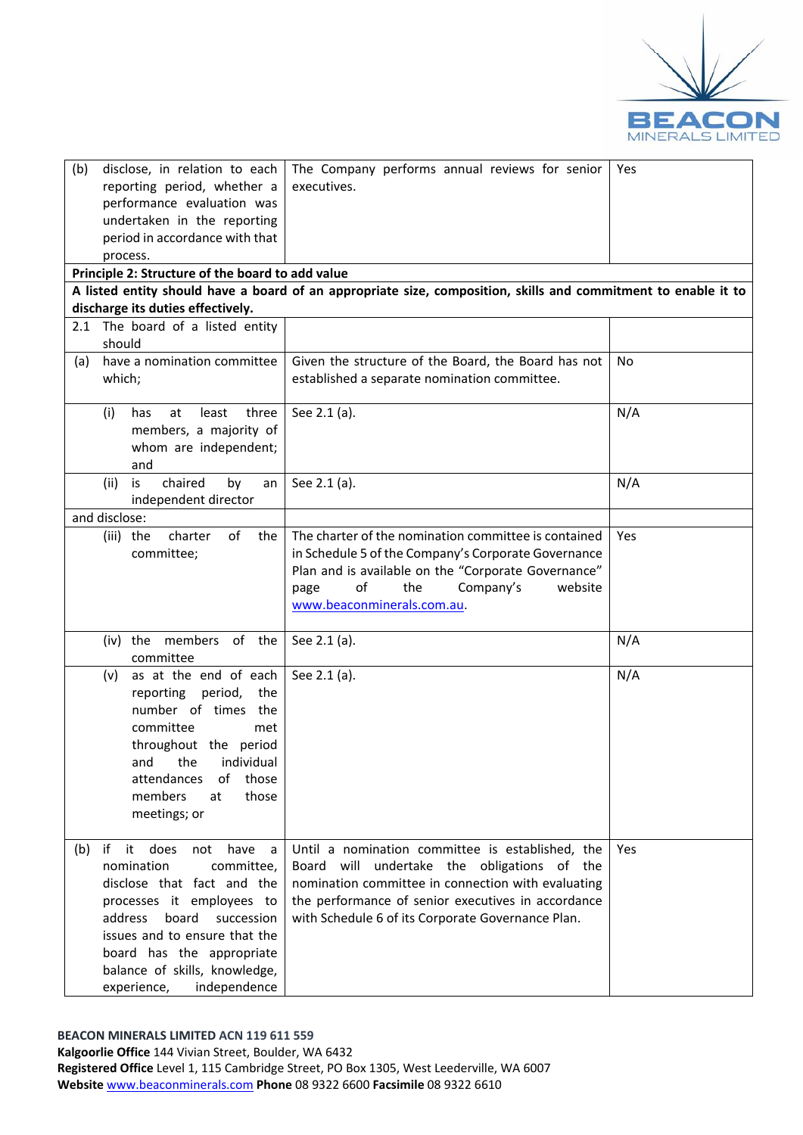

| (b)<br>disclose, in relation to each             | The Company performs annual reviews for senior                                                                 | Yes |
|--------------------------------------------------|----------------------------------------------------------------------------------------------------------------|-----|
| reporting period, whether a                      | executives.                                                                                                    |     |
| performance evaluation was                       |                                                                                                                |     |
| undertaken in the reporting                      |                                                                                                                |     |
| period in accordance with that                   |                                                                                                                |     |
| process.                                         |                                                                                                                |     |
| Principle 2: Structure of the board to add value |                                                                                                                |     |
|                                                  | A listed entity should have a board of an appropriate size, composition, skills and commitment to enable it to |     |
| discharge its duties effectively.                |                                                                                                                |     |
| 2.1 The board of a listed entity                 |                                                                                                                |     |
| should                                           |                                                                                                                |     |
| have a nomination committee<br>(a)               | Given the structure of the Board, the Board has not                                                            | No  |
| which;                                           | established a separate nomination committee.                                                                   |     |
|                                                  |                                                                                                                |     |
| least<br>(i)<br>has<br>at<br>three               | See 2.1 (a).                                                                                                   | N/A |
| members, a majority of                           |                                                                                                                |     |
| whom are independent;                            |                                                                                                                |     |
| and                                              |                                                                                                                |     |
| chaired<br>by<br>(ii)<br>is<br>an                | See 2.1 (a).                                                                                                   | N/A |
| independent director                             |                                                                                                                |     |
| and disclose:                                    |                                                                                                                |     |
| of<br>charter<br>the<br>(iii) the                | The charter of the nomination committee is contained                                                           | Yes |
| committee;                                       | in Schedule 5 of the Company's Corporate Governance                                                            |     |
|                                                  | Plan and is available on the "Corporate Governance"                                                            |     |
|                                                  | of<br>the<br>Company's<br>website<br>page                                                                      |     |
|                                                  | www.beaconminerals.com.au.                                                                                     |     |
|                                                  |                                                                                                                |     |
| (iv) the members of the                          | See 2.1 (a).                                                                                                   | N/A |
| committee                                        |                                                                                                                |     |
| as at the end of each<br>(v)                     | See 2.1 (a).                                                                                                   | N/A |
| reporting period,<br>the                         |                                                                                                                |     |
| number of times the                              |                                                                                                                |     |
| committee<br>met                                 |                                                                                                                |     |
| throughout the period                            |                                                                                                                |     |
| and the individual                               |                                                                                                                |     |
| of<br>those<br>attendances                       |                                                                                                                |     |
| members<br>those<br>at                           |                                                                                                                |     |
| meetings; or                                     |                                                                                                                |     |
|                                                  |                                                                                                                |     |
| if it does<br>have<br>(b)<br>not<br>a            | Until a nomination committee is established, the                                                               | Yes |
| nomination<br>committee,                         | Board will undertake the obligations of the                                                                    |     |
| disclose that fact and the                       | nomination committee in connection with evaluating                                                             |     |
| processes it employees to                        | the performance of senior executives in accordance                                                             |     |
| address<br>board<br>succession                   | with Schedule 6 of its Corporate Governance Plan.                                                              |     |
| issues and to ensure that the                    |                                                                                                                |     |
| board has the appropriate                        |                                                                                                                |     |
| balance of skills, knowledge,                    |                                                                                                                |     |
| experience,<br>independence                      |                                                                                                                |     |
|                                                  |                                                                                                                |     |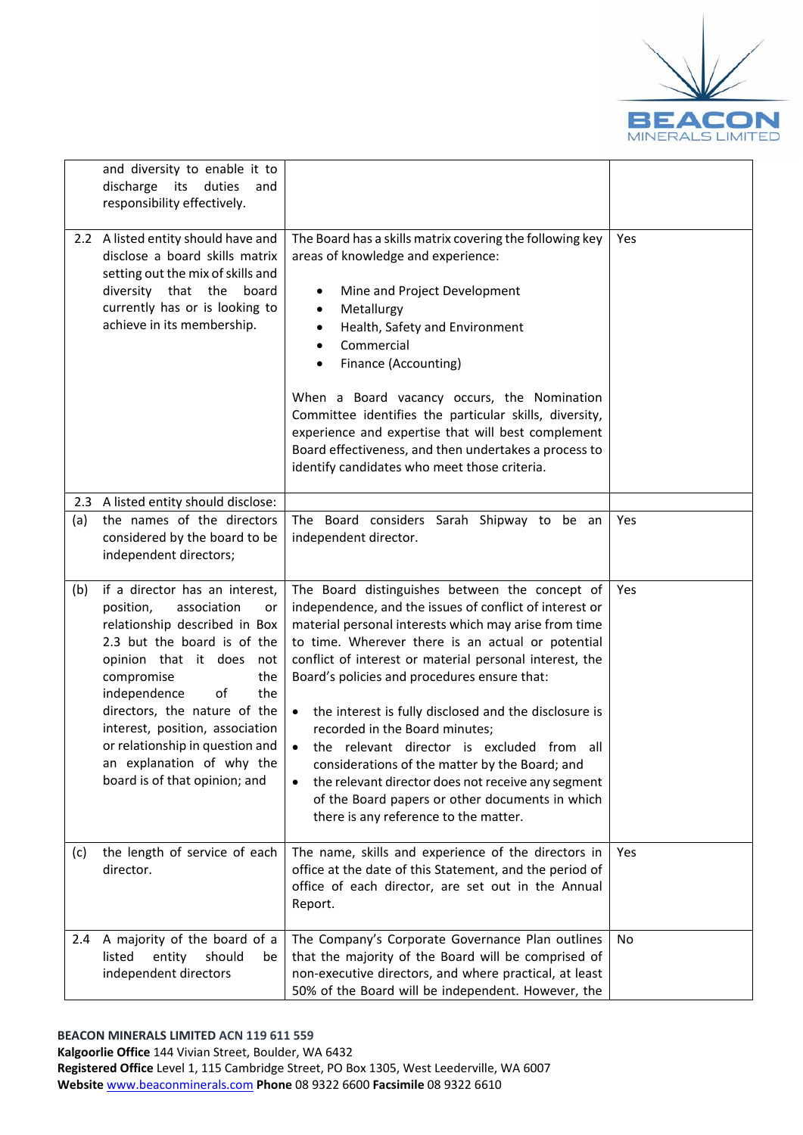

|     | and diversity to enable it to<br>discharge its duties<br>and<br>responsibility effectively.                                                                                                                                                                                                                                                                                           |                                                                                                                                                                                                                                                                                                                                                                                                                                                                                                                                                                                                                                                                                                           |     |
|-----|---------------------------------------------------------------------------------------------------------------------------------------------------------------------------------------------------------------------------------------------------------------------------------------------------------------------------------------------------------------------------------------|-----------------------------------------------------------------------------------------------------------------------------------------------------------------------------------------------------------------------------------------------------------------------------------------------------------------------------------------------------------------------------------------------------------------------------------------------------------------------------------------------------------------------------------------------------------------------------------------------------------------------------------------------------------------------------------------------------------|-----|
|     | 2.2 A listed entity should have and<br>disclose a board skills matrix<br>setting out the mix of skills and<br>diversity that the<br>board<br>currently has or is looking to<br>achieve in its membership.                                                                                                                                                                             | The Board has a skills matrix covering the following key<br>areas of knowledge and experience:<br>Mine and Project Development<br>٠<br>Metallurgy<br>$\bullet$<br>Health, Safety and Environment<br>$\bullet$<br>Commercial<br>$\bullet$<br>Finance (Accounting)<br>When a Board vacancy occurs, the Nomination<br>Committee identifies the particular skills, diversity,<br>experience and expertise that will best complement<br>Board effectiveness, and then undertakes a process to<br>identify candidates who meet those criteria.                                                                                                                                                                  | Yes |
|     | 2.3 A listed entity should disclose:                                                                                                                                                                                                                                                                                                                                                  |                                                                                                                                                                                                                                                                                                                                                                                                                                                                                                                                                                                                                                                                                                           |     |
| (a) | the names of the directors<br>considered by the board to be<br>independent directors;                                                                                                                                                                                                                                                                                                 | The Board considers Sarah Shipway to be an<br>independent director.                                                                                                                                                                                                                                                                                                                                                                                                                                                                                                                                                                                                                                       | Yes |
| (b) | if a director has an interest,<br>position,<br>association<br>or<br>relationship described in Box<br>2.3 but the board is of the<br>opinion that it does<br>not<br>compromise<br>the<br>independence<br>of<br>the<br>directors, the nature of the<br>interest, position, association<br>or relationship in question and<br>an explanation of why the<br>board is of that opinion; and | The Board distinguishes between the concept of<br>independence, and the issues of conflict of interest or<br>material personal interests which may arise from time<br>to time. Wherever there is an actual or potential<br>conflict of interest or material personal interest, the<br>Board's policies and procedures ensure that:<br>the interest is fully disclosed and the disclosure is<br>$\bullet$<br>recorded in the Board minutes;<br>the relevant director is excluded from all<br>considerations of the matter by the Board; and<br>the relevant director does not receive any segment<br>$\bullet$<br>of the Board papers or other documents in which<br>there is any reference to the matter. | Yes |
| (c) | the length of service of each<br>director.                                                                                                                                                                                                                                                                                                                                            | The name, skills and experience of the directors in<br>office at the date of this Statement, and the period of<br>office of each director, are set out in the Annual<br>Report.                                                                                                                                                                                                                                                                                                                                                                                                                                                                                                                           | Yes |
| 2.4 | A majority of the board of a<br>listed<br>entity<br>should<br>be<br>independent directors                                                                                                                                                                                                                                                                                             | The Company's Corporate Governance Plan outlines<br>that the majority of the Board will be comprised of<br>non-executive directors, and where practical, at least<br>50% of the Board will be independent. However, the                                                                                                                                                                                                                                                                                                                                                                                                                                                                                   | No  |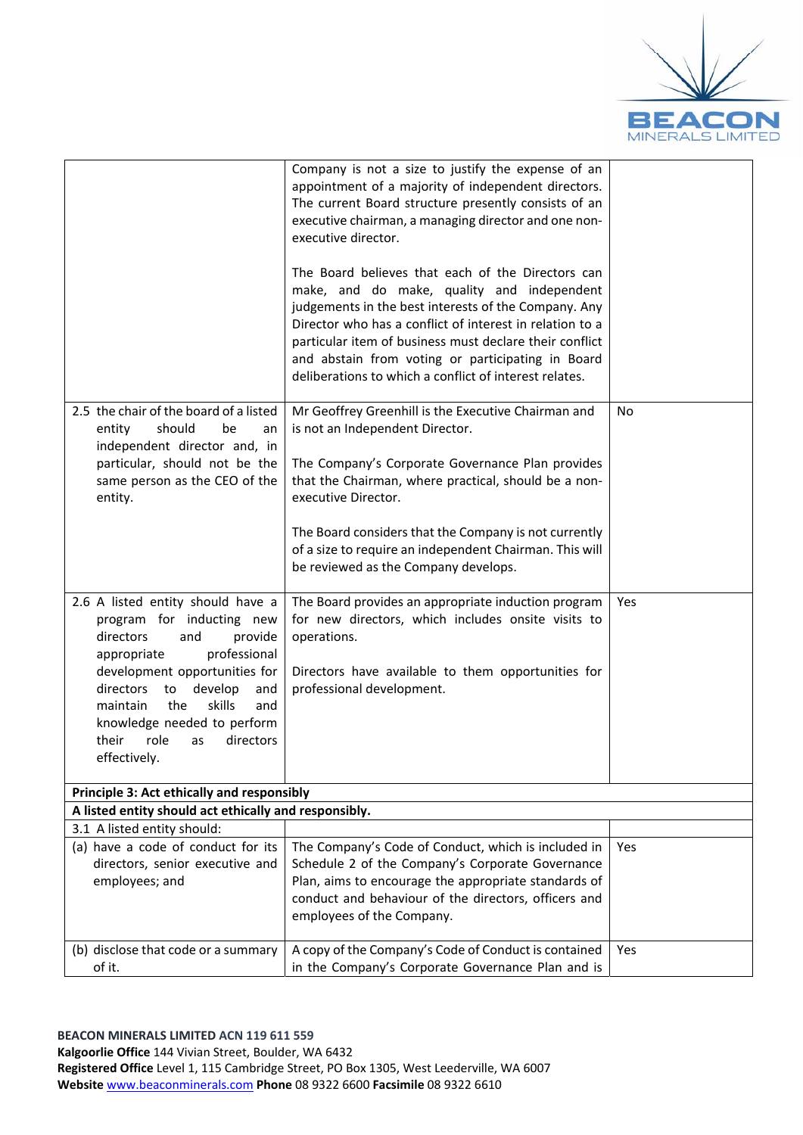

|                                                                                                                                                                                                                                                                                                                           | Company is not a size to justify the expense of an<br>appointment of a majority of independent directors.<br>The current Board structure presently consists of an<br>executive chairman, a managing director and one non-<br>executive director.<br>The Board believes that each of the Directors can<br>make, and do make, quality and independent<br>judgements in the best interests of the Company. Any<br>Director who has a conflict of interest in relation to a<br>particular item of business must declare their conflict<br>and abstain from voting or participating in Board<br>deliberations to which a conflict of interest relates. |     |
|---------------------------------------------------------------------------------------------------------------------------------------------------------------------------------------------------------------------------------------------------------------------------------------------------------------------------|---------------------------------------------------------------------------------------------------------------------------------------------------------------------------------------------------------------------------------------------------------------------------------------------------------------------------------------------------------------------------------------------------------------------------------------------------------------------------------------------------------------------------------------------------------------------------------------------------------------------------------------------------|-----|
| 2.5 the chair of the board of a listed<br>should<br>be<br>entity<br>an<br>independent director and, in<br>particular, should not be the<br>same person as the CEO of the<br>entity.                                                                                                                                       | Mr Geoffrey Greenhill is the Executive Chairman and<br>is not an Independent Director.<br>The Company's Corporate Governance Plan provides<br>that the Chairman, where practical, should be a non-<br>executive Director.<br>The Board considers that the Company is not currently<br>of a size to require an independent Chairman. This will<br>be reviewed as the Company develops.                                                                                                                                                                                                                                                             | No  |
| 2.6 A listed entity should have a<br>program for inducting new<br>directors<br>and<br>provide<br>professional<br>appropriate<br>development opportunities for<br>directors<br>develop<br>to<br>and<br>the<br>skills<br>maintain<br>and<br>knowledge needed to perform<br>their<br>role<br>directors<br>as<br>effectively. | The Board provides an appropriate induction program<br>for new directors, which includes onsite visits to<br>operations.<br>Directors have available to them opportunities for<br>professional development.                                                                                                                                                                                                                                                                                                                                                                                                                                       | Yes |
| Principle 3: Act ethically and responsibly<br>A listed entity should act ethically and responsibly.                                                                                                                                                                                                                       |                                                                                                                                                                                                                                                                                                                                                                                                                                                                                                                                                                                                                                                   |     |
| 3.1 A listed entity should:                                                                                                                                                                                                                                                                                               |                                                                                                                                                                                                                                                                                                                                                                                                                                                                                                                                                                                                                                                   |     |
| (a) have a code of conduct for its<br>directors, senior executive and<br>employees; and                                                                                                                                                                                                                                   | The Company's Code of Conduct, which is included in<br>Schedule 2 of the Company's Corporate Governance<br>Plan, aims to encourage the appropriate standards of<br>conduct and behaviour of the directors, officers and<br>employees of the Company.                                                                                                                                                                                                                                                                                                                                                                                              | Yes |
| (b) disclose that code or a summary<br>of it.                                                                                                                                                                                                                                                                             | A copy of the Company's Code of Conduct is contained<br>in the Company's Corporate Governance Plan and is                                                                                                                                                                                                                                                                                                                                                                                                                                                                                                                                         | Yes |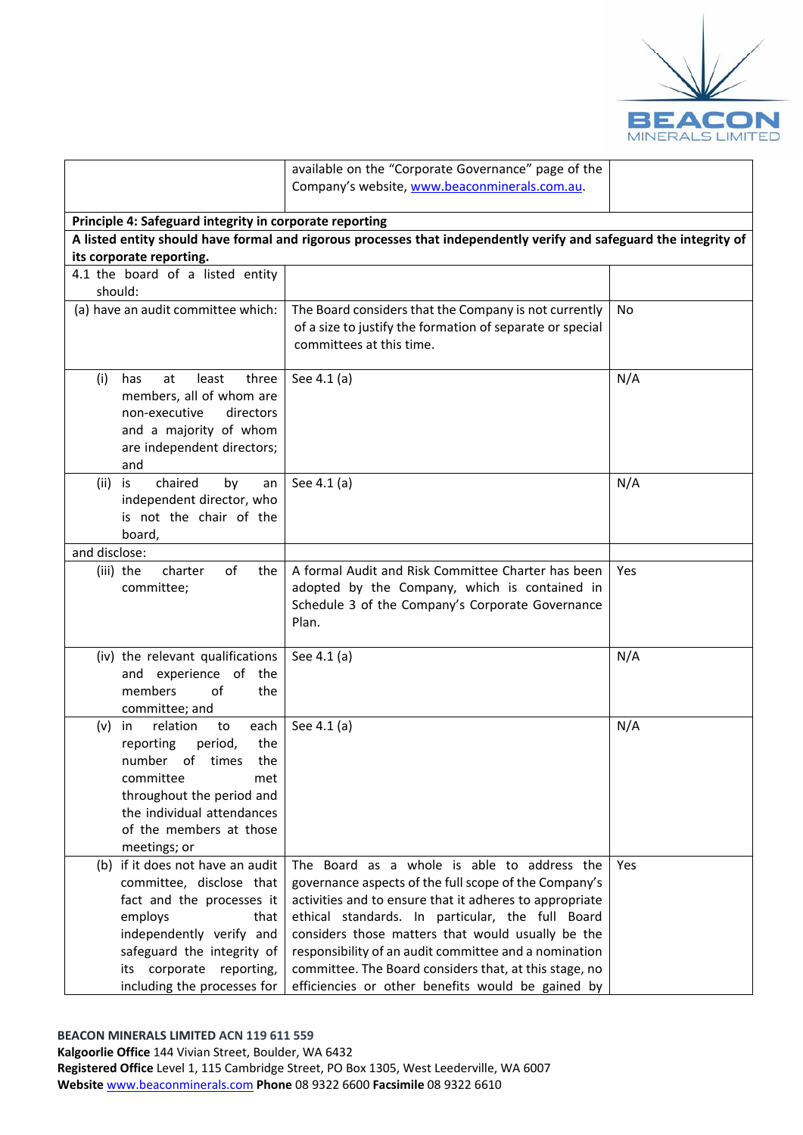

|                                                                                                                                                                                                                                   | available on the "Corporate Governance" page of the                                                                                                                                                                                                                                                                                                                                                                                              |     |
|-----------------------------------------------------------------------------------------------------------------------------------------------------------------------------------------------------------------------------------|--------------------------------------------------------------------------------------------------------------------------------------------------------------------------------------------------------------------------------------------------------------------------------------------------------------------------------------------------------------------------------------------------------------------------------------------------|-----|
|                                                                                                                                                                                                                                   | Company's website, www.beaconminerals.com.au.                                                                                                                                                                                                                                                                                                                                                                                                    |     |
| Principle 4: Safeguard integrity in corporate reporting                                                                                                                                                                           |                                                                                                                                                                                                                                                                                                                                                                                                                                                  |     |
|                                                                                                                                                                                                                                   | A listed entity should have formal and rigorous processes that independently verify and safeguard the integrity of                                                                                                                                                                                                                                                                                                                               |     |
| its corporate reporting.                                                                                                                                                                                                          |                                                                                                                                                                                                                                                                                                                                                                                                                                                  |     |
| 4.1 the board of a listed entity                                                                                                                                                                                                  |                                                                                                                                                                                                                                                                                                                                                                                                                                                  |     |
| should:                                                                                                                                                                                                                           |                                                                                                                                                                                                                                                                                                                                                                                                                                                  |     |
| (a) have an audit committee which:                                                                                                                                                                                                | The Board considers that the Company is not currently<br>of a size to justify the formation of separate or special<br>committees at this time.                                                                                                                                                                                                                                                                                                   | No  |
| (i)<br>least<br>three<br>has<br>at<br>members, all of whom are<br>non-executive<br>directors<br>and a majority of whom<br>are independent directors;<br>and                                                                       | See 4.1 (a)                                                                                                                                                                                                                                                                                                                                                                                                                                      | N/A |
| chaired<br>(ii)<br>is<br>by<br>an<br>independent director, who<br>is not the chair of the<br>board,                                                                                                                               | See 4.1 (a)                                                                                                                                                                                                                                                                                                                                                                                                                                      | N/A |
| and disclose:                                                                                                                                                                                                                     |                                                                                                                                                                                                                                                                                                                                                                                                                                                  |     |
| of<br>(iii) the<br>charter<br>the<br>committee;                                                                                                                                                                                   | A formal Audit and Risk Committee Charter has been<br>adopted by the Company, which is contained in<br>Schedule 3 of the Company's Corporate Governance<br>Plan.                                                                                                                                                                                                                                                                                 | Yes |
| (iv) the relevant qualifications<br>and experience of the<br>members<br>of<br>the<br>committee; and                                                                                                                               | See 4.1 (a)                                                                                                                                                                                                                                                                                                                                                                                                                                      | N/A |
| relation<br>each<br>(v)<br>in<br>to<br>reporting<br>period,<br>the<br>number of times<br>the<br>committee<br>met<br>throughout the period and<br>the individual attendances<br>of the members at those<br>meetings; or            | See 4.1 (a)                                                                                                                                                                                                                                                                                                                                                                                                                                      | N/A |
| (b) if it does not have an audit<br>committee, disclose that<br>fact and the processes it<br>employs<br>that<br>independently verify and<br>safeguard the integrity of<br>its corporate reporting,<br>including the processes for | The Board as a whole is able to address the<br>governance aspects of the full scope of the Company's<br>activities and to ensure that it adheres to appropriate<br>ethical standards. In particular, the full Board<br>considers those matters that would usually be the<br>responsibility of an audit committee and a nomination<br>committee. The Board considers that, at this stage, no<br>efficiencies or other benefits would be gained by | Yes |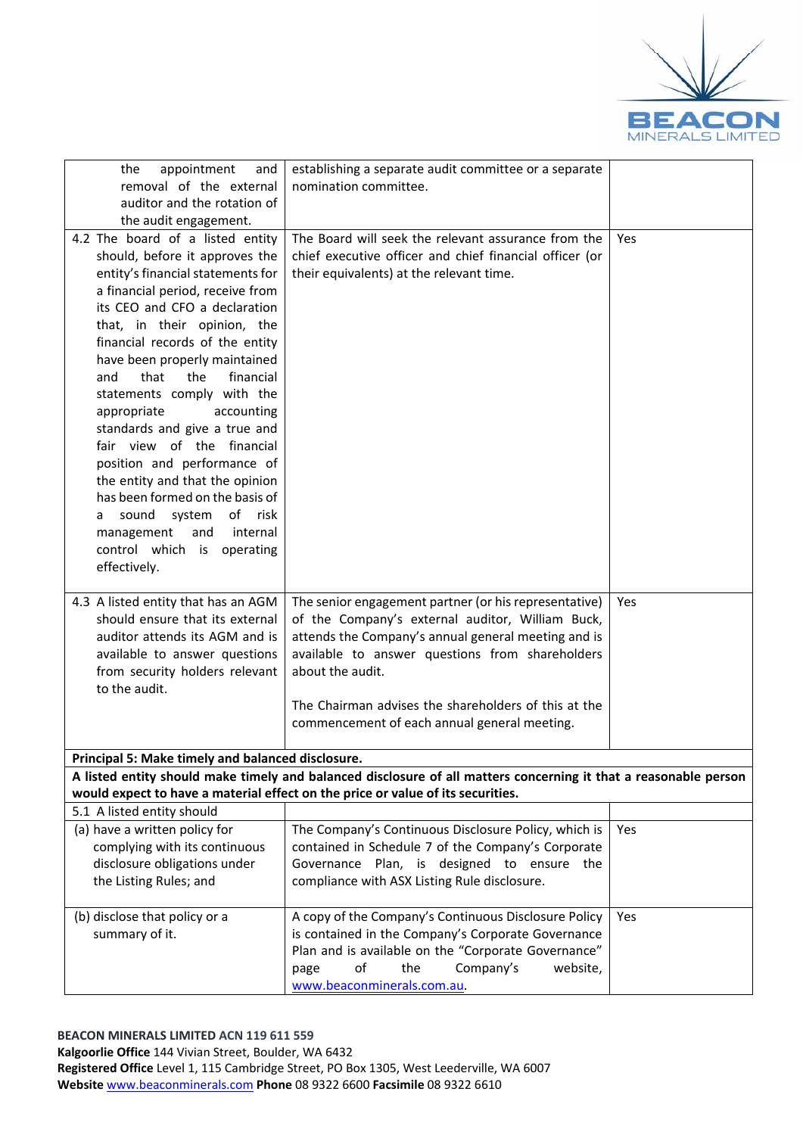

| appointment<br>the<br>and<br>removal of the external                                                                                                                                                                                                                                                                                                                                                                                                                                                                                                                                                                                                                | establishing a separate audit committee or a separate<br>nomination committee.                                                                                                                                                                                                                                                                  |     |
|---------------------------------------------------------------------------------------------------------------------------------------------------------------------------------------------------------------------------------------------------------------------------------------------------------------------------------------------------------------------------------------------------------------------------------------------------------------------------------------------------------------------------------------------------------------------------------------------------------------------------------------------------------------------|-------------------------------------------------------------------------------------------------------------------------------------------------------------------------------------------------------------------------------------------------------------------------------------------------------------------------------------------------|-----|
| auditor and the rotation of<br>the audit engagement.                                                                                                                                                                                                                                                                                                                                                                                                                                                                                                                                                                                                                |                                                                                                                                                                                                                                                                                                                                                 |     |
| 4.2 The board of a listed entity<br>should, before it approves the<br>entity's financial statements for<br>a financial period, receive from<br>its CEO and CFO a declaration<br>that, in their opinion, the<br>financial records of the entity<br>have been properly maintained<br>that<br>the<br>financial<br>and<br>statements comply with the<br>appropriate<br>accounting<br>standards and give a true and<br>fair view of the financial<br>position and performance of<br>the entity and that the opinion<br>has been formed on the basis of<br>system<br>of risk<br>sound<br>a<br>internal<br>management<br>and<br>control which is operating<br>effectively. | The Board will seek the relevant assurance from the<br>chief executive officer and chief financial officer (or<br>their equivalents) at the relevant time.                                                                                                                                                                                      | Yes |
| 4.3 A listed entity that has an AGM<br>should ensure that its external<br>auditor attends its AGM and is<br>available to answer questions<br>from security holders relevant<br>to the audit.                                                                                                                                                                                                                                                                                                                                                                                                                                                                        | The senior engagement partner (or his representative)<br>of the Company's external auditor, William Buck,<br>attends the Company's annual general meeting and is<br>available to answer questions from shareholders<br>about the audit.<br>The Chairman advises the shareholders of this at the<br>commencement of each annual general meeting. | Yes |
| Principal 5: Make timely and balanced disclosure.                                                                                                                                                                                                                                                                                                                                                                                                                                                                                                                                                                                                                   |                                                                                                                                                                                                                                                                                                                                                 |     |
|                                                                                                                                                                                                                                                                                                                                                                                                                                                                                                                                                                                                                                                                     | A listed entity should make timely and balanced disclosure of all matters concerning it that a reasonable person                                                                                                                                                                                                                                |     |
|                                                                                                                                                                                                                                                                                                                                                                                                                                                                                                                                                                                                                                                                     | would expect to have a material effect on the price or value of its securities.                                                                                                                                                                                                                                                                 |     |
| 5.1 A listed entity should<br>(a) have a written policy for                                                                                                                                                                                                                                                                                                                                                                                                                                                                                                                                                                                                         | The Company's Continuous Disclosure Policy, which is                                                                                                                                                                                                                                                                                            | Yes |
| complying with its continuous<br>disclosure obligations under<br>the Listing Rules; and                                                                                                                                                                                                                                                                                                                                                                                                                                                                                                                                                                             | contained in Schedule 7 of the Company's Corporate<br>Governance Plan, is designed to ensure the<br>compliance with ASX Listing Rule disclosure.                                                                                                                                                                                                |     |
| (b) disclose that policy or a<br>summary of it.                                                                                                                                                                                                                                                                                                                                                                                                                                                                                                                                                                                                                     | A copy of the Company's Continuous Disclosure Policy<br>is contained in the Company's Corporate Governance<br>Plan and is available on the "Corporate Governance"<br>of<br>the<br>Company's<br>website,<br>page<br>www.beaconminerals.com.au.                                                                                                   | Yes |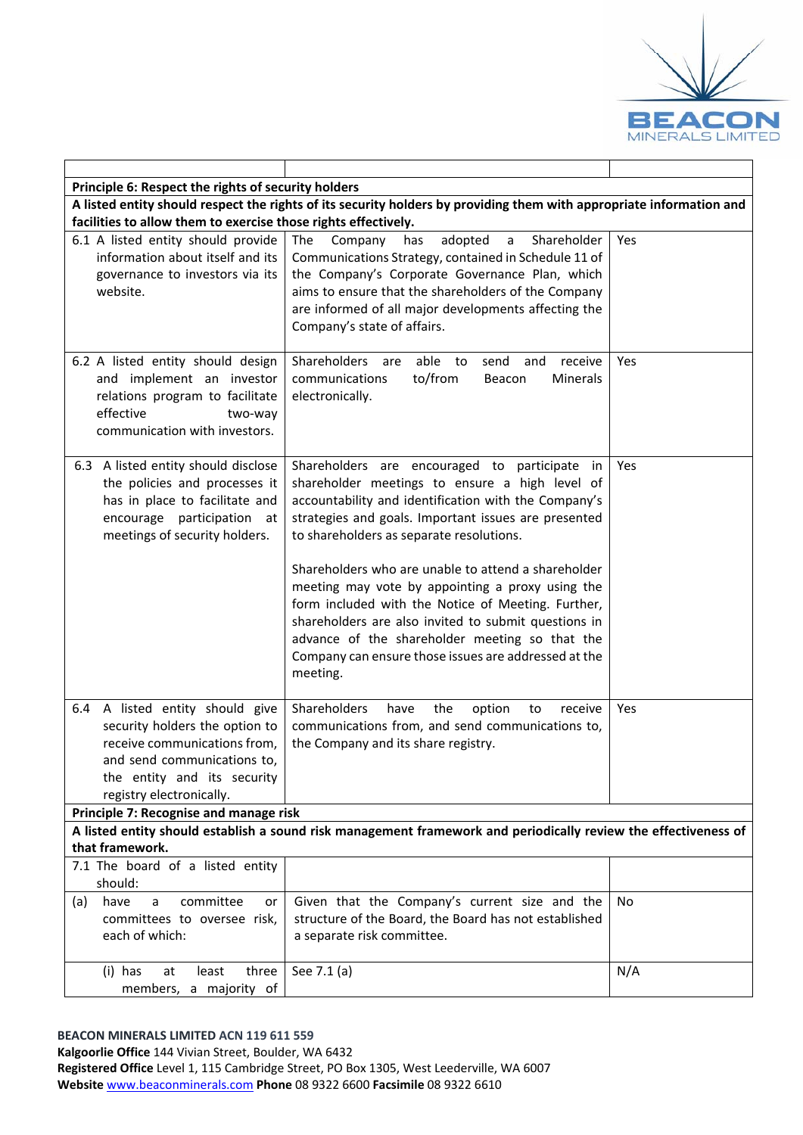

| Principle 6: Respect the rights of security holders                                                                                                                                         |                                                                                                                                                                                                                                                                                                                                             |     |
|---------------------------------------------------------------------------------------------------------------------------------------------------------------------------------------------|---------------------------------------------------------------------------------------------------------------------------------------------------------------------------------------------------------------------------------------------------------------------------------------------------------------------------------------------|-----|
|                                                                                                                                                                                             | A listed entity should respect the rights of its security holders by providing them with appropriate information and                                                                                                                                                                                                                        |     |
| facilities to allow them to exercise those rights effectively.<br>6.1 A listed entity should provide<br>information about itself and its<br>governance to investors via its                 | The Company<br>adopted<br>has<br>$\mathsf{a}$<br>Shareholder<br>Communications Strategy, contained in Schedule 11 of<br>the Company's Corporate Governance Plan, which                                                                                                                                                                      | Yes |
| website.                                                                                                                                                                                    | aims to ensure that the shareholders of the Company<br>are informed of all major developments affecting the<br>Company's state of affairs.                                                                                                                                                                                                  |     |
| 6.2 A listed entity should design<br>and implement an investor<br>relations program to facilitate<br>effective<br>two-way<br>communication with investors.                                  | Shareholders<br>able<br>to<br>send<br>and<br>receive<br>are<br>communications<br>to/from<br>Minerals<br>Beacon<br>electronically.                                                                                                                                                                                                           | Yes |
| 6.3 A listed entity should disclose<br>the policies and processes it<br>has in place to facilitate and<br>encourage participation<br>- at<br>meetings of security holders.                  | Shareholders are encouraged to participate in<br>shareholder meetings to ensure a high level of<br>accountability and identification with the Company's<br>strategies and goals. Important issues are presented<br>to shareholders as separate resolutions.                                                                                 | Yes |
|                                                                                                                                                                                             | Shareholders who are unable to attend a shareholder<br>meeting may vote by appointing a proxy using the<br>form included with the Notice of Meeting. Further,<br>shareholders are also invited to submit questions in<br>advance of the shareholder meeting so that the<br>Company can ensure those issues are addressed at the<br>meeting. |     |
| 6.4 A listed entity should give<br>security holders the option to<br>receive communications from,<br>and send communications to.<br>the entity and its security<br>registry electronically. | Shareholders<br>the<br>have<br>option<br>receive<br>to<br>communications from, and send communications to,<br>the Company and its share registry.                                                                                                                                                                                           | Yes |
| Principle 7: Recognise and manage risk                                                                                                                                                      |                                                                                                                                                                                                                                                                                                                                             |     |
| that framework.                                                                                                                                                                             | A listed entity should establish a sound risk management framework and periodically review the effectiveness of                                                                                                                                                                                                                             |     |
| 7.1 The board of a listed entity<br>should:                                                                                                                                                 |                                                                                                                                                                                                                                                                                                                                             |     |
| committee<br>have<br>a<br>(a)<br>or<br>committees to oversee risk,<br>each of which:                                                                                                        | Given that the Company's current size and the<br>structure of the Board, the Board has not established<br>a separate risk committee.                                                                                                                                                                                                        | No  |
| (i) has<br>least<br>three<br>at<br>members, a majority of                                                                                                                                   | See 7.1 (a)                                                                                                                                                                                                                                                                                                                                 | N/A |

### **BEACON MINERALS LIMITED ACN 119 611 559**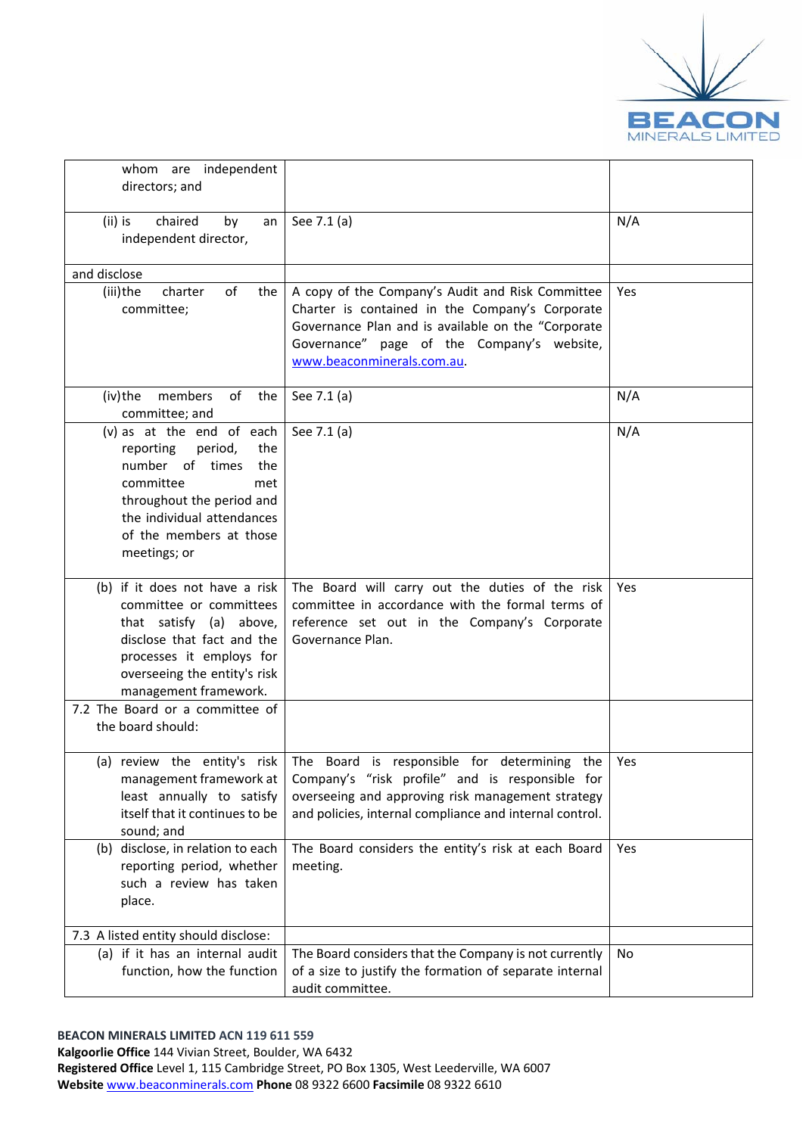

| whom are independent<br>directors; and                                                                                                                                                                       |                                                                                                                                                                                                                                              |     |
|--------------------------------------------------------------------------------------------------------------------------------------------------------------------------------------------------------------|----------------------------------------------------------------------------------------------------------------------------------------------------------------------------------------------------------------------------------------------|-----|
| chaired<br>(ii) is<br>by<br>an<br>independent director,                                                                                                                                                      | See 7.1 (a)                                                                                                                                                                                                                                  | N/A |
| and disclose                                                                                                                                                                                                 |                                                                                                                                                                                                                                              |     |
| (iii)the<br>of<br>charter<br>the<br>committee;                                                                                                                                                               | A copy of the Company's Audit and Risk Committee<br>Charter is contained in the Company's Corporate<br>Governance Plan and is available on the "Corporate<br>Governance" page of the Company's website,<br>www.beaconminerals.com.au.        | Yes |
| of<br>(iv)the<br>members<br>the<br>committee; and                                                                                                                                                            | See 7.1 (a)                                                                                                                                                                                                                                  | N/A |
| (v) as at the end of each<br>reporting<br>period,<br>the<br>number of times<br>the<br>committee<br>met<br>throughout the period and<br>the individual attendances<br>of the members at those<br>meetings; or | See 7.1 (a)                                                                                                                                                                                                                                  | N/A |
| (b) if it does not have a risk<br>committee or committees<br>that satisfy (a) above,<br>disclose that fact and the<br>processes it employs for<br>overseeing the entity's risk<br>management framework.      | The Board will carry out the duties of the risk<br>committee in accordance with the formal terms of<br>reference set out in the Company's Corporate<br>Governance Plan.                                                                      | Yes |
| 7.2 The Board or a committee of<br>the board should:                                                                                                                                                         |                                                                                                                                                                                                                                              |     |
| management framework at<br>least annually to satisfy<br>itself that it continues to be<br>sound; and                                                                                                         | (a) review the entity's risk The Board is responsible for determining the<br>Company's "risk profile" and is responsible for<br>overseeing and approving risk management strategy<br>and policies, internal compliance and internal control. | Yes |
| (b) disclose, in relation to each<br>reporting period, whether<br>such a review has taken<br>place.                                                                                                          | The Board considers the entity's risk at each Board<br>meeting.                                                                                                                                                                              | Yes |
| 7.3 A listed entity should disclose:                                                                                                                                                                         |                                                                                                                                                                                                                                              |     |
| (a) if it has an internal audit<br>function, how the function                                                                                                                                                | The Board considers that the Company is not currently<br>of a size to justify the formation of separate internal<br>audit committee.                                                                                                         | No  |

**Registered Office** Level 1, 115 Cambridge Street, PO Box 1305, West Leederville, WA 6007 **Website** www.beaconminerals.com **Phone** 08 9322 6600 **Facsimile** 08 9322 6610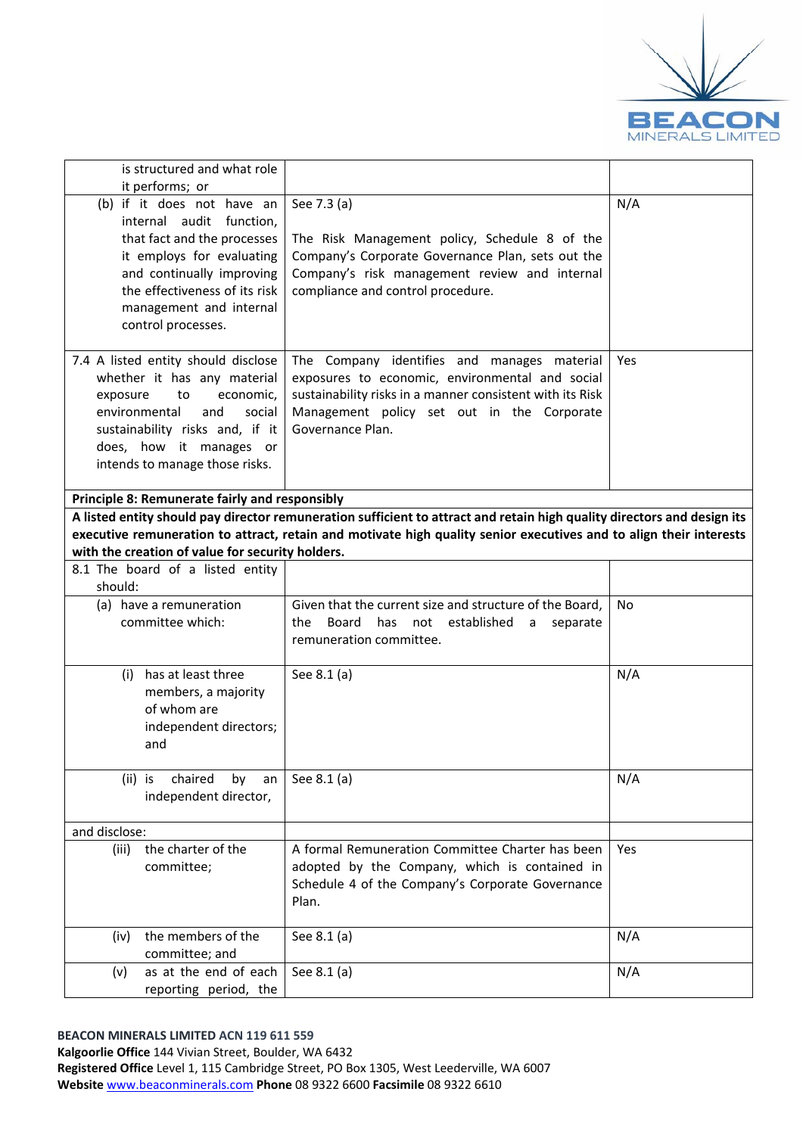

| is structured and what role<br>it performs; or                                                                                                                                                                                      |                                                                                                                                                                                                                               |     |
|-------------------------------------------------------------------------------------------------------------------------------------------------------------------------------------------------------------------------------------|-------------------------------------------------------------------------------------------------------------------------------------------------------------------------------------------------------------------------------|-----|
| (b) if it does not have an<br>internal audit function,<br>that fact and the processes<br>it employs for evaluating<br>and continually improving<br>the effectiveness of its risk<br>management and internal<br>control processes.   | See 7.3 (a)<br>The Risk Management policy, Schedule 8 of the<br>Company's Corporate Governance Plan, sets out the<br>Company's risk management review and internal<br>compliance and control procedure.                       | N/A |
| 7.4 A listed entity should disclose<br>whether it has any material<br>economic,<br>exposure<br>to<br>environmental<br>and<br>social<br>sustainability risks and, if it<br>does, how it manages or<br>intends to manage those risks. | The Company identifies and manages material<br>exposures to economic, environmental and social<br>sustainability risks in a manner consistent with its Risk<br>Management policy set out in the Corporate<br>Governance Plan. | Yes |
| Principle 8: Remunerate fairly and responsibly                                                                                                                                                                                      |                                                                                                                                                                                                                               |     |
|                                                                                                                                                                                                                                     | A listed entity should pay director remuneration sufficient to attract and retain high quality directors and design its                                                                                                       |     |
|                                                                                                                                                                                                                                     | executive remuneration to attract, retain and motivate high quality senior executives and to align their interests                                                                                                            |     |
| with the creation of value for security holders.                                                                                                                                                                                    |                                                                                                                                                                                                                               |     |
| 8.1 The board of a listed entity<br>should:                                                                                                                                                                                         |                                                                                                                                                                                                                               |     |
| (a) have a remuneration<br>committee which:                                                                                                                                                                                         | Given that the current size and structure of the Board,<br>Board<br>has<br>not<br>established<br>the<br>separate<br>a<br>remuneration committee.                                                                              | No  |
| has at least three<br>(i)<br>members, a majority<br>of whom are<br>independent directors;<br>and                                                                                                                                    | See 8.1 (a)                                                                                                                                                                                                                   | N/A |
| chaired<br>$(ii)$ is<br>by<br>an<br>independent director,                                                                                                                                                                           | See 8.1 (a)                                                                                                                                                                                                                   | N/A |
| and disclose:                                                                                                                                                                                                                       |                                                                                                                                                                                                                               |     |
| the charter of the<br>(iii)<br>committee;                                                                                                                                                                                           | A formal Remuneration Committee Charter has been<br>adopted by the Company, which is contained in<br>Schedule 4 of the Company's Corporate Governance<br>Plan.                                                                | Yes |
| the members of the<br>(iv)<br>committee; and                                                                                                                                                                                        | See 8.1 (a)                                                                                                                                                                                                                   | N/A |
| as at the end of each<br>(v)<br>reporting period, the                                                                                                                                                                               | See 8.1 (a)                                                                                                                                                                                                                   | N/A |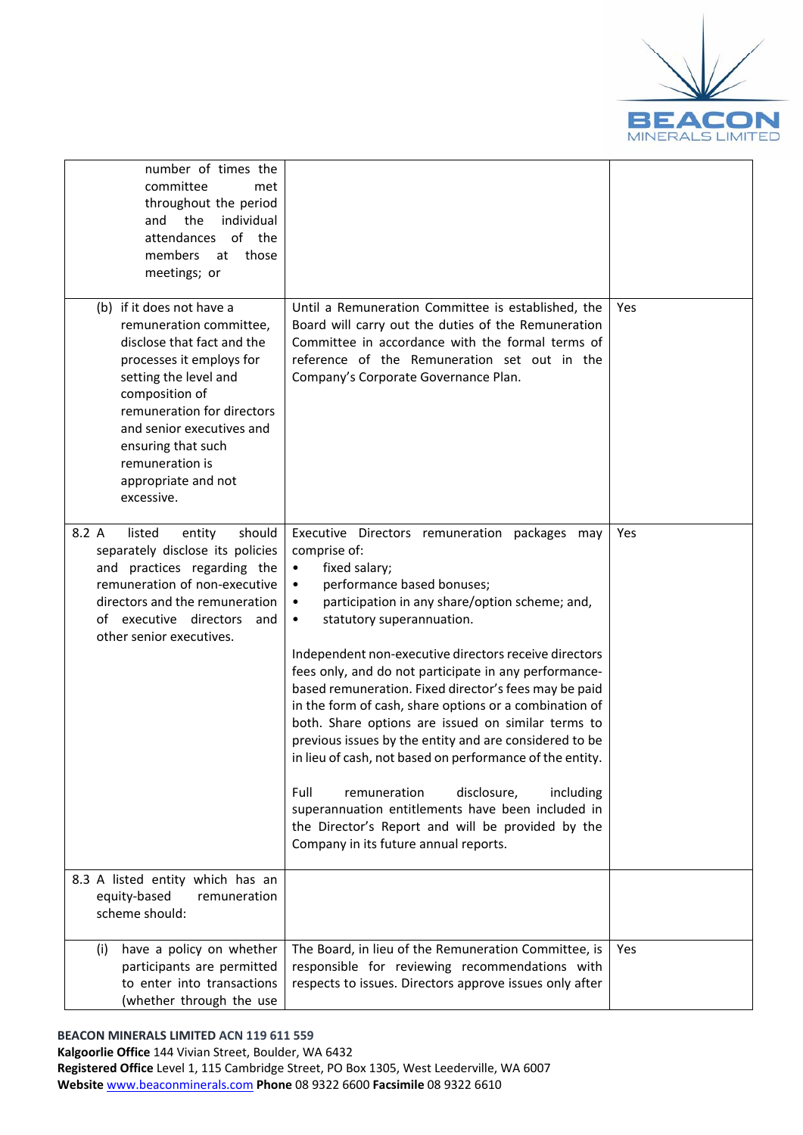

| number of times the<br>committee<br>met<br>throughout the period<br>and the<br>individual<br>attendances of the<br>members<br>at<br>those<br>meetings; or                                                                                                                                          |                                                                                                                                                                                                                                                                                                                                                                                                                                                                                                                                                                                                                                                                                                                                                                                                                                               |     |
|----------------------------------------------------------------------------------------------------------------------------------------------------------------------------------------------------------------------------------------------------------------------------------------------------|-----------------------------------------------------------------------------------------------------------------------------------------------------------------------------------------------------------------------------------------------------------------------------------------------------------------------------------------------------------------------------------------------------------------------------------------------------------------------------------------------------------------------------------------------------------------------------------------------------------------------------------------------------------------------------------------------------------------------------------------------------------------------------------------------------------------------------------------------|-----|
| (b) if it does not have a<br>remuneration committee,<br>disclose that fact and the<br>processes it employs for<br>setting the level and<br>composition of<br>remuneration for directors<br>and senior executives and<br>ensuring that such<br>remuneration is<br>appropriate and not<br>excessive. | Until a Remuneration Committee is established, the<br>Board will carry out the duties of the Remuneration<br>Committee in accordance with the formal terms of<br>reference of the Remuneration set out in the<br>Company's Corporate Governance Plan.                                                                                                                                                                                                                                                                                                                                                                                                                                                                                                                                                                                         | Yes |
| should<br>listed<br>8.2 A<br>entity<br>separately disclose its policies<br>and practices regarding the<br>remuneration of non-executive<br>directors and the remuneration<br>of executive directors<br>and<br>other senior executives.                                                             | Executive Directors remuneration packages may<br>comprise of:<br>fixed salary;<br>$\bullet$<br>performance based bonuses;<br>participation in any share/option scheme; and,<br>statutory superannuation.<br>$\bullet$<br>Independent non-executive directors receive directors<br>fees only, and do not participate in any performance-<br>based remuneration. Fixed director's fees may be paid<br>in the form of cash, share options or a combination of<br>both. Share options are issued on similar terms to<br>previous issues by the entity and are considered to be<br>in lieu of cash, not based on performance of the entity.<br>disclosure,<br>Full<br>remuneration<br>including<br>superannuation entitlements have been included in<br>the Director's Report and will be provided by the<br>Company in its future annual reports. | Yes |
| 8.3 A listed entity which has an<br>equity-based<br>remuneration<br>scheme should:                                                                                                                                                                                                                 |                                                                                                                                                                                                                                                                                                                                                                                                                                                                                                                                                                                                                                                                                                                                                                                                                                               |     |
| have a policy on whether<br>(i)<br>participants are permitted<br>to enter into transactions<br>(whether through the use                                                                                                                                                                            | The Board, in lieu of the Remuneration Committee, is<br>responsible for reviewing recommendations with<br>respects to issues. Directors approve issues only after                                                                                                                                                                                                                                                                                                                                                                                                                                                                                                                                                                                                                                                                             | Yes |

### **BEACON MINERALS LIMITED ACN 119 611 559**